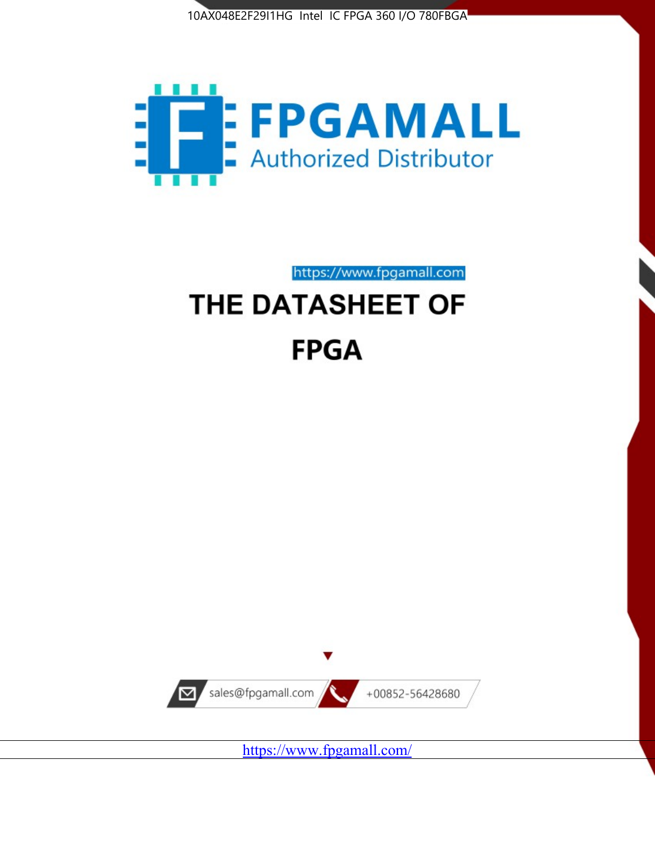



# https://www.fpgamall.com THE DATASHEET OF

# **FPGA**



<https://www.fpgamall.com/>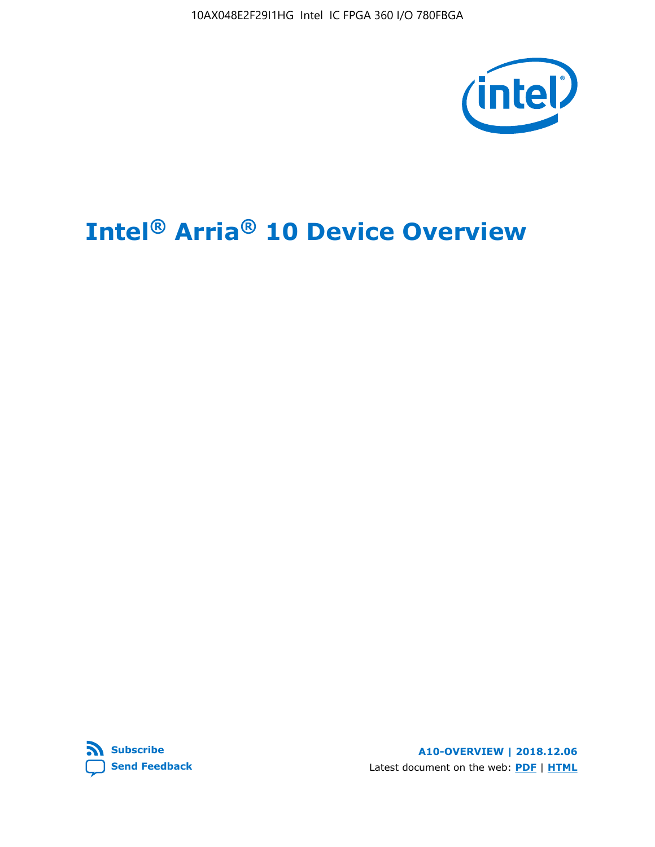10AX048E2F29I1HG Intel IC FPGA 360 I/O 780FBGA



# **Intel® Arria® 10 Device Overview**



**A10-OVERVIEW | 2018.12.06** Latest document on the web: **[PDF](https://www.intel.com/content/dam/www/programmable/us/en/pdfs/literature/hb/arria-10/a10_overview.pdf)** | **[HTML](https://www.intel.com/content/www/us/en/programmable/documentation/sam1403480274650.html)**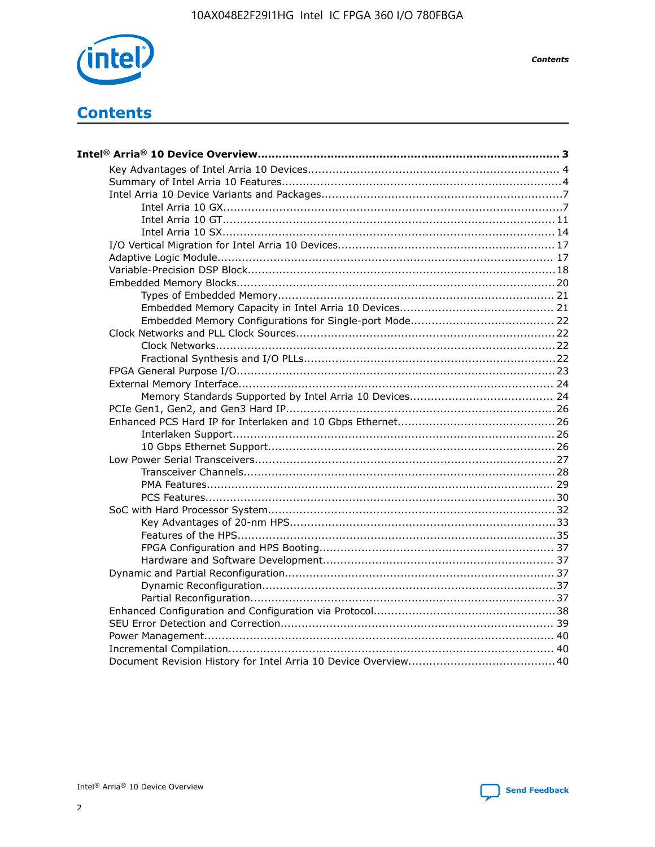

**Contents** 

# **Contents**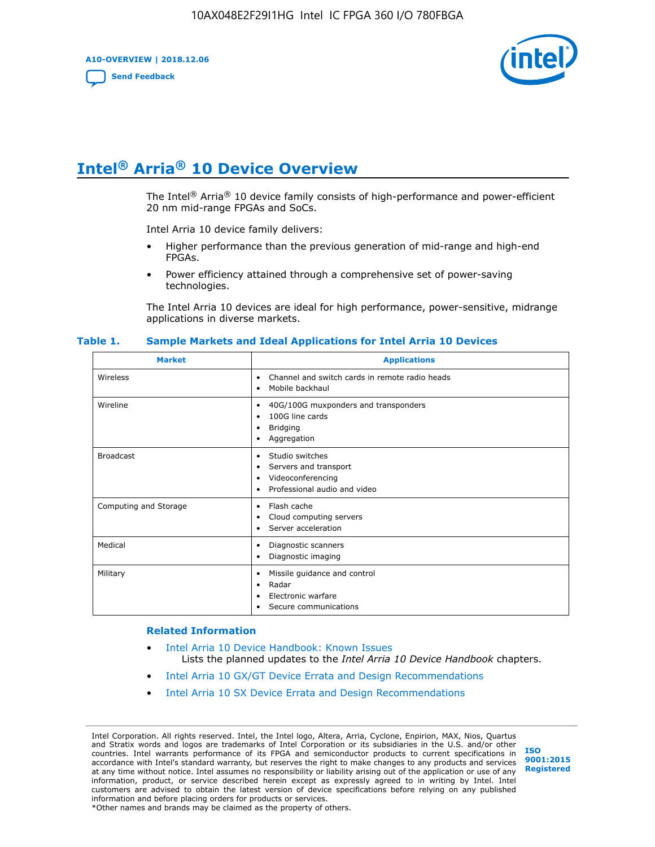**A10-OVERVIEW | 2018.12.06**

**[Send Feedback](mailto:FPGAtechdocfeedback@intel.com?subject=Feedback%20on%20Intel%20Arria%2010%20Device%20Overview%20(A10-OVERVIEW%202018.12.06)&body=We%20appreciate%20your%20feedback.%20In%20your%20comments,%20also%20specify%20the%20page%20number%20or%20paragraph.%20Thank%20you.)**



# **Intel® Arria® 10 Device Overview**

The Intel<sup>®</sup> Arria<sup>®</sup> 10 device family consists of high-performance and power-efficient 20 nm mid-range FPGAs and SoCs.

Intel Arria 10 device family delivers:

- Higher performance than the previous generation of mid-range and high-end FPGAs.
- Power efficiency attained through a comprehensive set of power-saving technologies.

The Intel Arria 10 devices are ideal for high performance, power-sensitive, midrange applications in diverse markets.

| <b>Market</b>         | <b>Applications</b>                                                                                               |
|-----------------------|-------------------------------------------------------------------------------------------------------------------|
| Wireless              | Channel and switch cards in remote radio heads<br>٠<br>Mobile backhaul<br>٠                                       |
| Wireline              | 40G/100G muxponders and transponders<br>٠<br>100G line cards<br>٠<br><b>Bridging</b><br>٠<br>Aggregation<br>٠     |
| <b>Broadcast</b>      | Studio switches<br>٠<br>Servers and transport<br>٠<br>Videoconferencing<br>٠<br>Professional audio and video<br>٠ |
| Computing and Storage | Flash cache<br>٠<br>Cloud computing servers<br>٠<br>Server acceleration<br>٠                                      |
| Medical               | Diagnostic scanners<br>٠<br>Diagnostic imaging<br>٠                                                               |
| Military              | Missile guidance and control<br>٠<br>Radar<br>٠<br>Electronic warfare<br>٠<br>Secure communications<br>٠          |

#### **Table 1. Sample Markets and Ideal Applications for Intel Arria 10 Devices**

#### **Related Information**

- [Intel Arria 10 Device Handbook: Known Issues](http://www.altera.com/support/kdb/solutions/rd07302013_646.html) Lists the planned updates to the *Intel Arria 10 Device Handbook* chapters.
- [Intel Arria 10 GX/GT Device Errata and Design Recommendations](https://www.intel.com/content/www/us/en/programmable/documentation/agz1493851706374.html#yqz1494433888646)
- [Intel Arria 10 SX Device Errata and Design Recommendations](https://www.intel.com/content/www/us/en/programmable/documentation/cru1462832385668.html#cru1462832558642)

Intel Corporation. All rights reserved. Intel, the Intel logo, Altera, Arria, Cyclone, Enpirion, MAX, Nios, Quartus and Stratix words and logos are trademarks of Intel Corporation or its subsidiaries in the U.S. and/or other countries. Intel warrants performance of its FPGA and semiconductor products to current specifications in accordance with Intel's standard warranty, but reserves the right to make changes to any products and services at any time without notice. Intel assumes no responsibility or liability arising out of the application or use of any information, product, or service described herein except as expressly agreed to in writing by Intel. Intel customers are advised to obtain the latest version of device specifications before relying on any published information and before placing orders for products or services. \*Other names and brands may be claimed as the property of others.

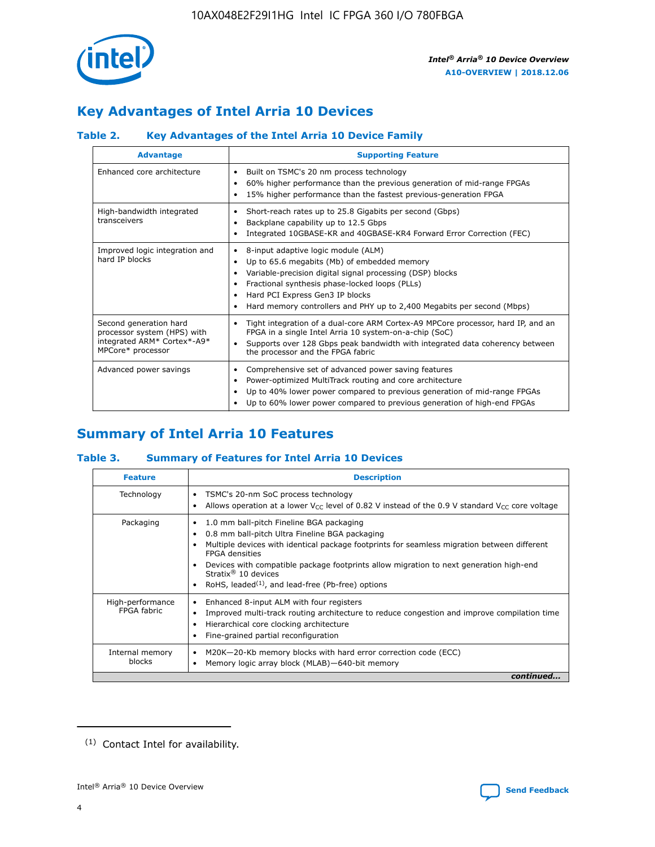

# **Key Advantages of Intel Arria 10 Devices**

# **Table 2. Key Advantages of the Intel Arria 10 Device Family**

| <b>Advantage</b>                                                                                          | <b>Supporting Feature</b>                                                                                                                                                                                                                                                                                                |
|-----------------------------------------------------------------------------------------------------------|--------------------------------------------------------------------------------------------------------------------------------------------------------------------------------------------------------------------------------------------------------------------------------------------------------------------------|
| Enhanced core architecture                                                                                | Built on TSMC's 20 nm process technology<br>٠<br>60% higher performance than the previous generation of mid-range FPGAs<br>٠<br>15% higher performance than the fastest previous-generation FPGA<br>٠                                                                                                                    |
| High-bandwidth integrated<br>transceivers                                                                 | Short-reach rates up to 25.8 Gigabits per second (Gbps)<br>٠<br>Backplane capability up to 12.5 Gbps<br>٠<br>Integrated 10GBASE-KR and 40GBASE-KR4 Forward Error Correction (FEC)<br>٠                                                                                                                                   |
| Improved logic integration and<br>hard IP blocks                                                          | 8-input adaptive logic module (ALM)<br>٠<br>Up to 65.6 megabits (Mb) of embedded memory<br>٠<br>Variable-precision digital signal processing (DSP) blocks<br>Fractional synthesis phase-locked loops (PLLs)<br>Hard PCI Express Gen3 IP blocks<br>Hard memory controllers and PHY up to 2,400 Megabits per second (Mbps) |
| Second generation hard<br>processor system (HPS) with<br>integrated ARM* Cortex*-A9*<br>MPCore* processor | Tight integration of a dual-core ARM Cortex-A9 MPCore processor, hard IP, and an<br>٠<br>FPGA in a single Intel Arria 10 system-on-a-chip (SoC)<br>Supports over 128 Gbps peak bandwidth with integrated data coherency between<br>$\bullet$<br>the processor and the FPGA fabric                                        |
| Advanced power savings                                                                                    | Comprehensive set of advanced power saving features<br>٠<br>Power-optimized MultiTrack routing and core architecture<br>٠<br>Up to 40% lower power compared to previous generation of mid-range FPGAs<br>٠<br>Up to 60% lower power compared to previous generation of high-end FPGAs<br>٠                               |

# **Summary of Intel Arria 10 Features**

## **Table 3. Summary of Features for Intel Arria 10 Devices**

| <b>Feature</b>                  | <b>Description</b>                                                                                                                                                                                                                                                                                                                                                                                       |
|---------------------------------|----------------------------------------------------------------------------------------------------------------------------------------------------------------------------------------------------------------------------------------------------------------------------------------------------------------------------------------------------------------------------------------------------------|
| Technology                      | TSMC's 20-nm SoC process technology<br>٠<br>Allows operation at a lower $V_{\text{CC}}$ level of 0.82 V instead of the 0.9 V standard $V_{\text{CC}}$ core voltage                                                                                                                                                                                                                                       |
| Packaging                       | 1.0 mm ball-pitch Fineline BGA packaging<br>0.8 mm ball-pitch Ultra Fineline BGA packaging<br>Multiple devices with identical package footprints for seamless migration between different<br><b>FPGA</b> densities<br>Devices with compatible package footprints allow migration to next generation high-end<br>Stratix $\mathcal{R}$ 10 devices<br>RoHS, leaded $(1)$ , and lead-free (Pb-free) options |
| High-performance<br>FPGA fabric | Enhanced 8-input ALM with four registers<br>٠<br>Improved multi-track routing architecture to reduce congestion and improve compilation time<br>Hierarchical core clocking architecture<br>Fine-grained partial reconfiguration                                                                                                                                                                          |
| Internal memory<br>blocks       | M20K-20-Kb memory blocks with hard error correction code (ECC)<br>Memory logic array block (MLAB)-640-bit memory                                                                                                                                                                                                                                                                                         |
|                                 | continued                                                                                                                                                                                                                                                                                                                                                                                                |



<sup>(1)</sup> Contact Intel for availability.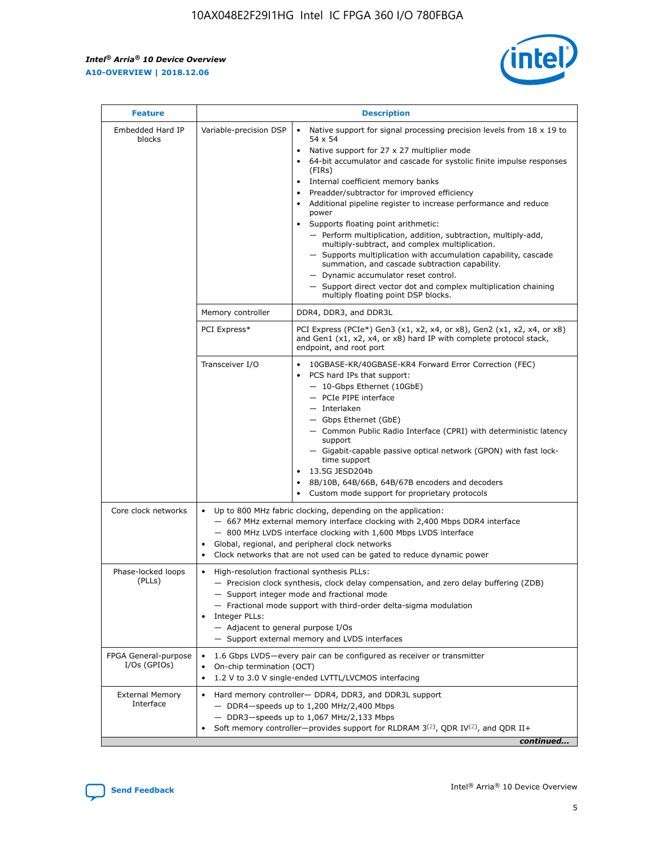$\mathsf{r}$ 



| <b>Feature</b>                         |                                                                                                                | <b>Description</b>                                                                                                                                                                                                                                                                                                                                                                                                                                                                                                                                                                                                                                                                                                                                                                                                                          |
|----------------------------------------|----------------------------------------------------------------------------------------------------------------|---------------------------------------------------------------------------------------------------------------------------------------------------------------------------------------------------------------------------------------------------------------------------------------------------------------------------------------------------------------------------------------------------------------------------------------------------------------------------------------------------------------------------------------------------------------------------------------------------------------------------------------------------------------------------------------------------------------------------------------------------------------------------------------------------------------------------------------------|
| Embedded Hard IP<br>blocks             | Variable-precision DSP                                                                                         | Native support for signal processing precision levels from $18 \times 19$ to<br>$\bullet$<br>54 x 54<br>Native support for 27 x 27 multiplier mode<br>64-bit accumulator and cascade for systolic finite impulse responses<br>(FIRS)<br>Internal coefficient memory banks<br>٠<br>Preadder/subtractor for improved efficiency<br>Additional pipeline register to increase performance and reduce<br>power<br>Supports floating point arithmetic:<br>- Perform multiplication, addition, subtraction, multiply-add,<br>multiply-subtract, and complex multiplication.<br>- Supports multiplication with accumulation capability, cascade<br>summation, and cascade subtraction capability.<br>- Dynamic accumulator reset control.<br>- Support direct vector dot and complex multiplication chaining<br>multiply floating point DSP blocks. |
|                                        | Memory controller                                                                                              | DDR4, DDR3, and DDR3L                                                                                                                                                                                                                                                                                                                                                                                                                                                                                                                                                                                                                                                                                                                                                                                                                       |
|                                        | PCI Express*                                                                                                   | PCI Express (PCIe*) Gen3 (x1, x2, x4, or x8), Gen2 (x1, x2, x4, or x8)<br>and Gen1 (x1, x2, x4, or x8) hard IP with complete protocol stack,<br>endpoint, and root port                                                                                                                                                                                                                                                                                                                                                                                                                                                                                                                                                                                                                                                                     |
|                                        | Transceiver I/O                                                                                                | 10GBASE-KR/40GBASE-KR4 Forward Error Correction (FEC)<br>PCS hard IPs that support:<br>- 10-Gbps Ethernet (10GbE)<br>- PCIe PIPE interface<br>- Interlaken<br>- Gbps Ethernet (GbE)<br>- Common Public Radio Interface (CPRI) with deterministic latency<br>support<br>- Gigabit-capable passive optical network (GPON) with fast lock-<br>time support<br>13.5G JESD204b<br>8B/10B, 64B/66B, 64B/67B encoders and decoders<br>Custom mode support for proprietary protocols                                                                                                                                                                                                                                                                                                                                                                |
| Core clock networks                    | $\bullet$                                                                                                      | Up to 800 MHz fabric clocking, depending on the application:<br>- 667 MHz external memory interface clocking with 2,400 Mbps DDR4 interface<br>- 800 MHz LVDS interface clocking with 1,600 Mbps LVDS interface<br>Global, regional, and peripheral clock networks<br>Clock networks that are not used can be gated to reduce dynamic power                                                                                                                                                                                                                                                                                                                                                                                                                                                                                                 |
| Phase-locked loops<br>(PLLs)           | High-resolution fractional synthesis PLLs:<br>$\bullet$<br>Integer PLLs:<br>- Adjacent to general purpose I/Os | - Precision clock synthesis, clock delay compensation, and zero delay buffering (ZDB)<br>- Support integer mode and fractional mode<br>- Fractional mode support with third-order delta-sigma modulation<br>- Support external memory and LVDS interfaces                                                                                                                                                                                                                                                                                                                                                                                                                                                                                                                                                                                   |
| FPGA General-purpose<br>$I/Os$ (GPIOs) | On-chip termination (OCT)<br>$\bullet$                                                                         | 1.6 Gbps LVDS-every pair can be configured as receiver or transmitter<br>1.2 V to 3.0 V single-ended LVTTL/LVCMOS interfacing                                                                                                                                                                                                                                                                                                                                                                                                                                                                                                                                                                                                                                                                                                               |
| <b>External Memory</b><br>Interface    |                                                                                                                | Hard memory controller- DDR4, DDR3, and DDR3L support<br>$-$ DDR4 $-$ speeds up to 1,200 MHz/2,400 Mbps<br>- DDR3-speeds up to 1,067 MHz/2,133 Mbps<br>Soft memory controller—provides support for RLDRAM $3^{(2)}$ , QDR IV $(2)$ , and QDR II+<br>continued                                                                                                                                                                                                                                                                                                                                                                                                                                                                                                                                                                               |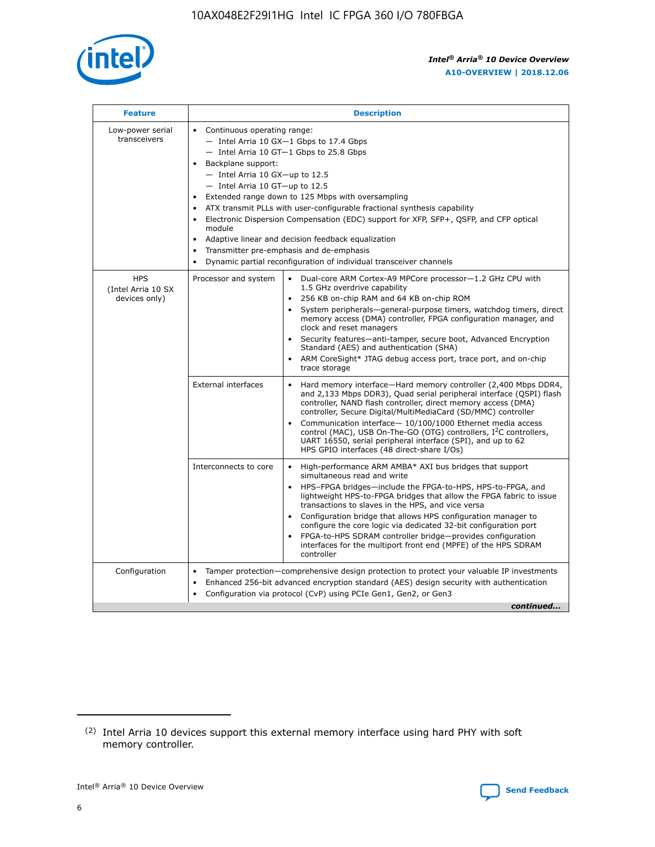

| <b>Feature</b>                                    | <b>Description</b>                                                                                                                                                                                                                                                                                                                                                                                                                                                                                                                                                                                                                                                        |
|---------------------------------------------------|---------------------------------------------------------------------------------------------------------------------------------------------------------------------------------------------------------------------------------------------------------------------------------------------------------------------------------------------------------------------------------------------------------------------------------------------------------------------------------------------------------------------------------------------------------------------------------------------------------------------------------------------------------------------------|
| Low-power serial<br>transceivers                  | • Continuous operating range:<br>- Intel Arria 10 GX-1 Gbps to 17.4 Gbps<br>$-$ Intel Arria 10 GT $-1$ Gbps to 25.8 Gbps<br>Backplane support:<br>$\bullet$<br>$-$ Intel Arria 10 GX-up to 12.5<br>$-$ Intel Arria 10 GT-up to 12.5<br>Extended range down to 125 Mbps with oversampling<br>ATX transmit PLLs with user-configurable fractional synthesis capability<br>Electronic Dispersion Compensation (EDC) support for XFP, SFP+, OSFP, and CFP optical<br>module<br>Adaptive linear and decision feedback equalization<br>$\bullet$<br>Transmitter pre-emphasis and de-emphasis<br>$\bullet$<br>Dynamic partial reconfiguration of individual transceiver channels |
| <b>HPS</b><br>(Intel Arria 10 SX<br>devices only) | Dual-core ARM Cortex-A9 MPCore processor-1.2 GHz CPU with<br>Processor and system<br>$\bullet$<br>1.5 GHz overdrive capability<br>256 KB on-chip RAM and 64 KB on-chip ROM<br>System peripherals-general-purpose timers, watchdog timers, direct<br>memory access (DMA) controller, FPGA configuration manager, and<br>clock and reset managers<br>• Security features—anti-tamper, secure boot, Advanced Encryption<br>Standard (AES) and authentication (SHA)<br>ARM CoreSight* JTAG debug access port, trace port, and on-chip<br>$\bullet$<br>trace storage                                                                                                           |
|                                                   | <b>External interfaces</b><br>Hard memory interface—Hard memory controller (2,400 Mbps DDR4,<br>and 2,133 Mbps DDR3), Quad serial peripheral interface (QSPI) flash<br>controller, NAND flash controller, direct memory access (DMA)<br>controller, Secure Digital/MultiMediaCard (SD/MMC) controller<br>Communication interface-10/100/1000 Ethernet media access<br>$\bullet$<br>control (MAC), USB On-The-GO (OTG) controllers, I <sup>2</sup> C controllers,<br>UART 16550, serial peripheral interface (SPI), and up to 62<br>HPS GPIO interfaces (48 direct-share I/Os)                                                                                             |
|                                                   | Interconnects to core<br>• High-performance ARM AMBA* AXI bus bridges that support<br>simultaneous read and write<br>HPS-FPGA bridges-include the FPGA-to-HPS, HPS-to-FPGA, and<br>$\bullet$<br>lightweight HPS-to-FPGA bridges that allow the FPGA fabric to issue<br>transactions to slaves in the HPS, and vice versa<br>Configuration bridge that allows HPS configuration manager to<br>configure the core logic via dedicated 32-bit configuration port<br>FPGA-to-HPS SDRAM controller bridge-provides configuration<br>interfaces for the multiport front end (MPFE) of the HPS SDRAM<br>controller                                                               |
| Configuration                                     | Tamper protection—comprehensive design protection to protect your valuable IP investments<br>Enhanced 256-bit advanced encryption standard (AES) design security with authentication<br>$\bullet$<br>Configuration via protocol (CvP) using PCIe Gen1, Gen2, or Gen3<br>continued                                                                                                                                                                                                                                                                                                                                                                                         |



<sup>(2)</sup> Intel Arria 10 devices support this external memory interface using hard PHY with soft memory controller.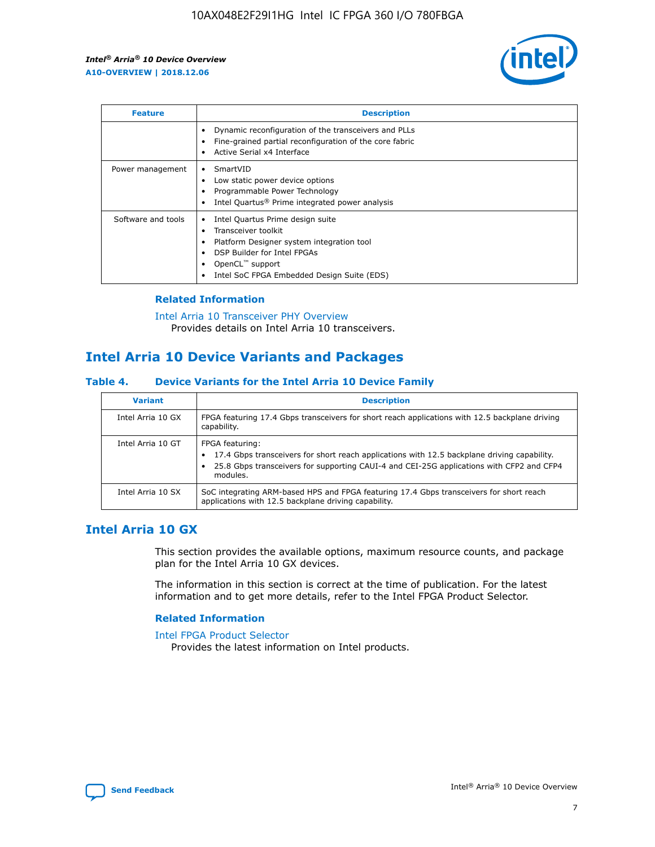

| <b>Feature</b>     | <b>Description</b>                                                                                                                                                                                               |
|--------------------|------------------------------------------------------------------------------------------------------------------------------------------------------------------------------------------------------------------|
|                    | Dynamic reconfiguration of the transceivers and PLLs<br>Fine-grained partial reconfiguration of the core fabric<br>Active Serial x4 Interface<br>$\bullet$                                                       |
| Power management   | SmartVID<br>Low static power device options<br>Programmable Power Technology<br>Intel Quartus <sup>®</sup> Prime integrated power analysis                                                                       |
| Software and tools | Intel Quartus Prime design suite<br>Transceiver toolkit<br>Platform Designer system integration tool<br>DSP Builder for Intel FPGAs<br>OpenCL <sup>™</sup> support<br>Intel SoC FPGA Embedded Design Suite (EDS) |

## **Related Information**

[Intel Arria 10 Transceiver PHY Overview](https://www.intel.com/content/www/us/en/programmable/documentation/nik1398707230472.html#nik1398706768037) Provides details on Intel Arria 10 transceivers.

# **Intel Arria 10 Device Variants and Packages**

#### **Table 4. Device Variants for the Intel Arria 10 Device Family**

| <b>Variant</b>    | <b>Description</b>                                                                                                                                                                                                     |
|-------------------|------------------------------------------------------------------------------------------------------------------------------------------------------------------------------------------------------------------------|
| Intel Arria 10 GX | FPGA featuring 17.4 Gbps transceivers for short reach applications with 12.5 backplane driving<br>capability.                                                                                                          |
| Intel Arria 10 GT | FPGA featuring:<br>17.4 Gbps transceivers for short reach applications with 12.5 backplane driving capability.<br>25.8 Gbps transceivers for supporting CAUI-4 and CEI-25G applications with CFP2 and CFP4<br>modules. |
| Intel Arria 10 SX | SoC integrating ARM-based HPS and FPGA featuring 17.4 Gbps transceivers for short reach<br>applications with 12.5 backplane driving capability.                                                                        |

# **Intel Arria 10 GX**

This section provides the available options, maximum resource counts, and package plan for the Intel Arria 10 GX devices.

The information in this section is correct at the time of publication. For the latest information and to get more details, refer to the Intel FPGA Product Selector.

#### **Related Information**

#### [Intel FPGA Product Selector](http://www.altera.com/products/selector/psg-selector.html) Provides the latest information on Intel products.

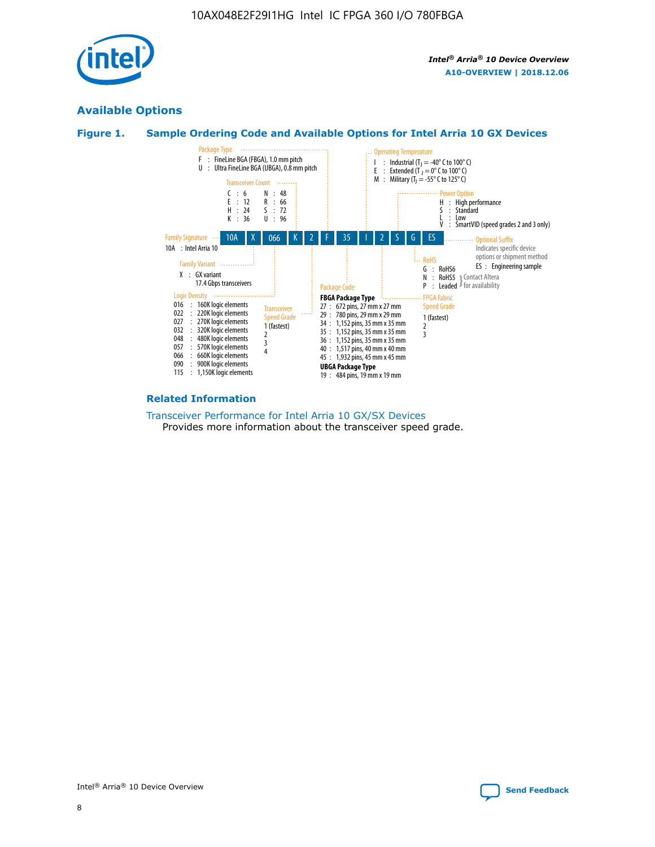

# **Available Options**





#### **Related Information**

[Transceiver Performance for Intel Arria 10 GX/SX Devices](https://www.intel.com/content/www/us/en/programmable/documentation/mcn1413182292568.html#mcn1413213965502) Provides more information about the transceiver speed grade.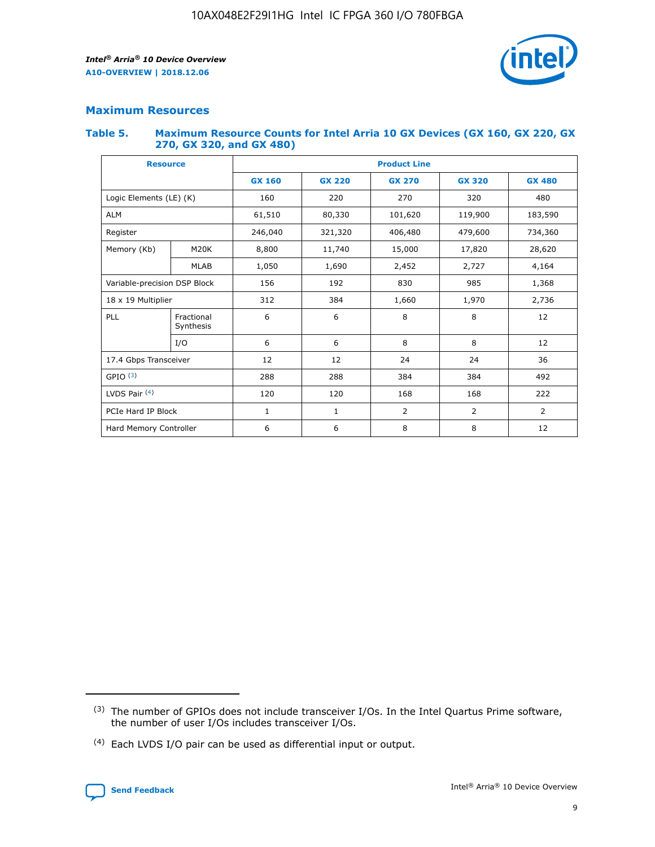

# **Maximum Resources**

#### **Table 5. Maximum Resource Counts for Intel Arria 10 GX Devices (GX 160, GX 220, GX 270, GX 320, and GX 480)**

| <b>Resource</b>              |                         | <b>Product Line</b> |                                                 |                    |                |                |  |  |  |
|------------------------------|-------------------------|---------------------|-------------------------------------------------|--------------------|----------------|----------------|--|--|--|
|                              |                         | <b>GX 160</b>       | <b>GX 220</b><br><b>GX 270</b><br><b>GX 320</b> |                    |                | <b>GX 480</b>  |  |  |  |
| Logic Elements (LE) (K)      |                         | 160                 | 220<br>320<br>270                               |                    |                | 480            |  |  |  |
| <b>ALM</b>                   |                         | 61,510              | 80,330                                          | 101,620            | 119,900        | 183,590        |  |  |  |
| Register                     |                         | 246,040             | 321,320                                         | 406,480<br>479,600 |                | 734,360        |  |  |  |
| Memory (Kb)                  | M <sub>20</sub> K       | 8,800               | 11,740                                          | 15,000             | 17,820         | 28,620         |  |  |  |
|                              | <b>MLAB</b>             | 1,050               | 1,690                                           | 2,452<br>2,727     |                | 4,164          |  |  |  |
| Variable-precision DSP Block |                         | 156                 | 192                                             | 830                | 985            |                |  |  |  |
| 18 x 19 Multiplier           |                         | 312                 | 384                                             | 1,660<br>1,970     |                | 2,736          |  |  |  |
| PLL                          | Fractional<br>Synthesis | 6                   | 6                                               | 8                  | 8              | 12             |  |  |  |
|                              | I/O                     | 6                   | 6                                               | 8                  | 8              | 12             |  |  |  |
| 17.4 Gbps Transceiver        |                         | 12                  | 12                                              | 24                 | 24             | 36             |  |  |  |
| GPIO <sup>(3)</sup>          |                         | 288                 | 288                                             | 384                | 384            |                |  |  |  |
| LVDS Pair $(4)$              |                         | 120                 | 120                                             | 168                | 168            | 222            |  |  |  |
| PCIe Hard IP Block           |                         | $\mathbf{1}$        | 1                                               | $\overline{2}$     | $\overline{2}$ | $\overline{2}$ |  |  |  |
| Hard Memory Controller       |                         | 6                   | 6                                               | 8                  | 8              |                |  |  |  |

<sup>(4)</sup> Each LVDS I/O pair can be used as differential input or output.



<sup>(3)</sup> The number of GPIOs does not include transceiver I/Os. In the Intel Quartus Prime software, the number of user I/Os includes transceiver I/Os.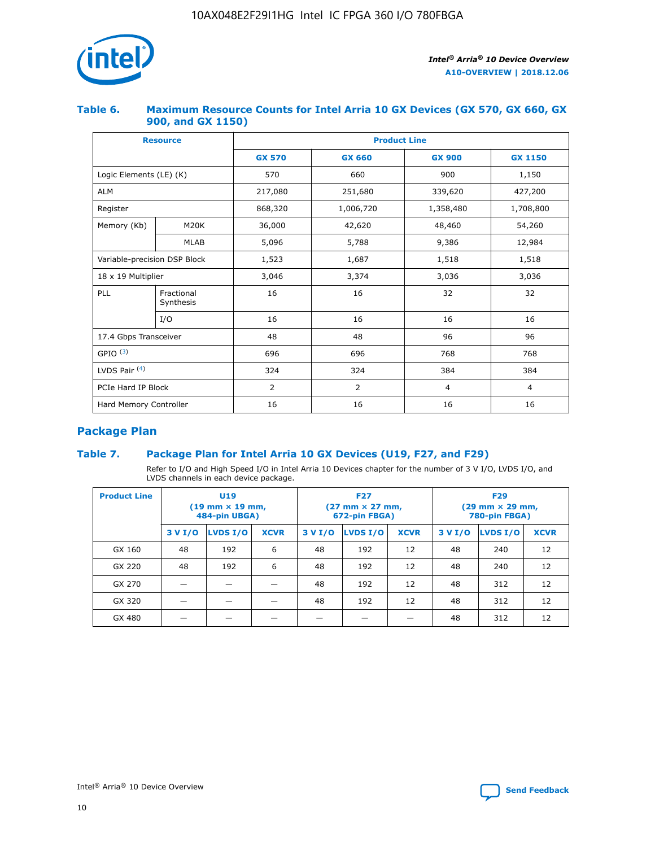

## **Table 6. Maximum Resource Counts for Intel Arria 10 GX Devices (GX 570, GX 660, GX 900, and GX 1150)**

|                              | <b>Resource</b>         | <b>Product Line</b> |                |                |                |  |  |  |
|------------------------------|-------------------------|---------------------|----------------|----------------|----------------|--|--|--|
|                              |                         | <b>GX 570</b>       | <b>GX 660</b>  | <b>GX 900</b>  | <b>GX 1150</b> |  |  |  |
| Logic Elements (LE) (K)      |                         | 570                 | 660            | 900            | 1,150          |  |  |  |
| <b>ALM</b>                   |                         | 217,080             | 251,680        | 339,620        | 427,200        |  |  |  |
| Register                     |                         | 868,320             | 1,006,720      |                | 1,708,800      |  |  |  |
| Memory (Kb)                  | <b>M20K</b>             | 36,000              | 42,620         | 48,460         | 54,260         |  |  |  |
|                              | <b>MLAB</b>             | 5,096               | 5,788          | 9,386          | 12,984         |  |  |  |
| Variable-precision DSP Block |                         | 1,523               | 1,687          | 1,518          | 1,518          |  |  |  |
| $18 \times 19$ Multiplier    |                         | 3,046               | 3,374          | 3,036          | 3,036          |  |  |  |
| PLL                          | Fractional<br>Synthesis | 16                  | 16             | 32             | 32             |  |  |  |
|                              | I/O                     | 16                  | 16             | 16             | 16             |  |  |  |
| 17.4 Gbps Transceiver        |                         | 48                  | 48<br>96       |                | 96             |  |  |  |
| GPIO <sup>(3)</sup>          |                         | 696                 | 696            | 768            | 768            |  |  |  |
| LVDS Pair $(4)$              |                         | 324                 | 324            | 384            | 384            |  |  |  |
| PCIe Hard IP Block           |                         | 2                   | $\overline{2}$ | $\overline{4}$ | $\overline{4}$ |  |  |  |
| Hard Memory Controller       |                         | 16                  | 16             | 16             | 16             |  |  |  |

# **Package Plan**

# **Table 7. Package Plan for Intel Arria 10 GX Devices (U19, F27, and F29)**

Refer to I/O and High Speed I/O in Intel Arria 10 Devices chapter for the number of 3 V I/O, LVDS I/O, and LVDS channels in each device package.

| <b>Product Line</b> | U <sub>19</sub><br>$(19 \text{ mm} \times 19 \text{ mm})$<br>484-pin UBGA) |          |             |         | <b>F27</b><br>(27 mm × 27 mm,<br>672-pin FBGA) |             | <b>F29</b><br>(29 mm × 29 mm,<br>780-pin FBGA) |          |             |  |
|---------------------|----------------------------------------------------------------------------|----------|-------------|---------|------------------------------------------------|-------------|------------------------------------------------|----------|-------------|--|
|                     | 3 V I/O                                                                    | LVDS I/O | <b>XCVR</b> | 3 V I/O | LVDS I/O                                       | <b>XCVR</b> | 3 V I/O                                        | LVDS I/O | <b>XCVR</b> |  |
| GX 160              | 48                                                                         | 192      | 6           | 48      | 192                                            | 12          | 48                                             | 240      | 12          |  |
| GX 220              | 48                                                                         | 192      | 6           | 48      | 192                                            | 12          | 48                                             | 240      | 12          |  |
| GX 270              |                                                                            |          |             | 48      | 192                                            | 12          | 48                                             | 312      | 12          |  |
| GX 320              |                                                                            |          |             | 48      | 192                                            | 12          | 48                                             | 312      | 12          |  |
| GX 480              |                                                                            |          |             |         |                                                |             | 48                                             | 312      | 12          |  |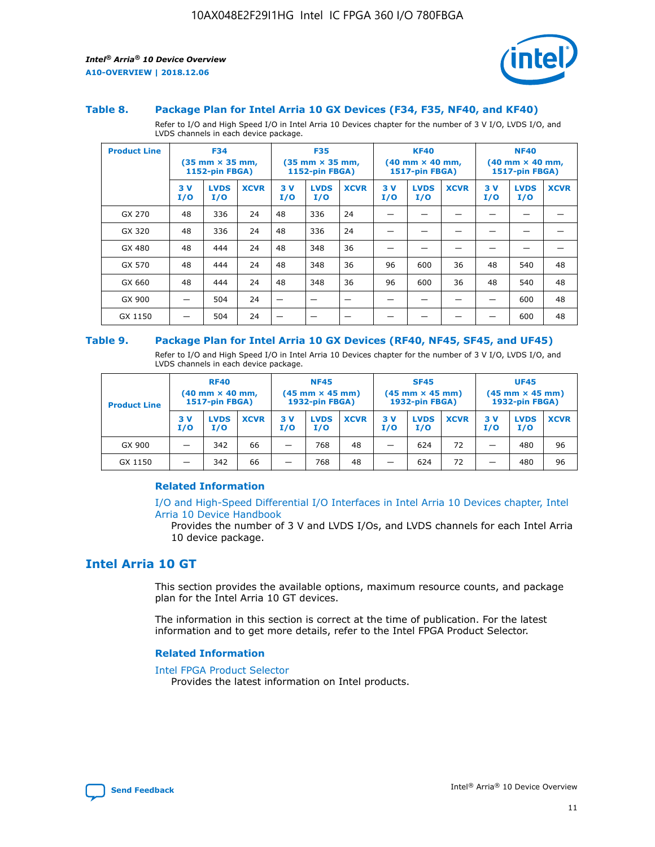

#### **Table 8. Package Plan for Intel Arria 10 GX Devices (F34, F35, NF40, and KF40)**

Refer to I/O and High Speed I/O in Intel Arria 10 Devices chapter for the number of 3 V I/O, LVDS I/O, and LVDS channels in each device package.

| <b>Product Line</b> | <b>F34</b><br>$(35 \text{ mm} \times 35 \text{ mm})$<br>1152-pin FBGA) |                    | <b>F35</b><br>$(35$ mm $\times$ 35 mm,<br><b>1152-pin FBGA)</b> |           | <b>KF40</b><br>$(40$ mm $\times$ 40 mm,<br>1517-pin FBGA) |             |           | <b>NF40</b><br>$(40$ mm $\times$ 40 mm,<br><b>1517-pin FBGA)</b> |             |            |                    |             |
|---------------------|------------------------------------------------------------------------|--------------------|-----------------------------------------------------------------|-----------|-----------------------------------------------------------|-------------|-----------|------------------------------------------------------------------|-------------|------------|--------------------|-------------|
|                     | 3V<br>I/O                                                              | <b>LVDS</b><br>I/O | <b>XCVR</b>                                                     | 3V<br>I/O | <b>LVDS</b><br>I/O                                        | <b>XCVR</b> | 3V<br>I/O | <b>LVDS</b><br>I/O                                               | <b>XCVR</b> | 3 V<br>I/O | <b>LVDS</b><br>I/O | <b>XCVR</b> |
| GX 270              | 48                                                                     | 336                | 24                                                              | 48        | 336                                                       | 24          |           |                                                                  |             |            |                    |             |
| GX 320              | 48                                                                     | 336                | 24                                                              | 48        | 336                                                       | 24          |           |                                                                  |             |            |                    |             |
| GX 480              | 48                                                                     | 444                | 24                                                              | 48        | 348                                                       | 36          |           |                                                                  |             |            |                    |             |
| GX 570              | 48                                                                     | 444                | 24                                                              | 48        | 348                                                       | 36          | 96        | 600                                                              | 36          | 48         | 540                | 48          |
| GX 660              | 48                                                                     | 444                | 24                                                              | 48        | 348                                                       | 36          | 96        | 600                                                              | 36          | 48         | 540                | 48          |
| GX 900              |                                                                        | 504                | 24                                                              | –         |                                                           | -           |           |                                                                  |             |            | 600                | 48          |
| GX 1150             |                                                                        | 504                | 24                                                              |           |                                                           |             |           |                                                                  |             |            | 600                | 48          |

#### **Table 9. Package Plan for Intel Arria 10 GX Devices (RF40, NF45, SF45, and UF45)**

Refer to I/O and High Speed I/O in Intel Arria 10 Devices chapter for the number of 3 V I/O, LVDS I/O, and LVDS channels in each device package.

| <b>Product Line</b> | <b>RF40</b><br>$(40$ mm $\times$ 40 mm,<br>1517-pin FBGA) |                    |             | <b>NF45</b><br>$(45 \text{ mm} \times 45 \text{ mm})$<br><b>1932-pin FBGA)</b> |                    |             | <b>SF45</b><br>$(45 \text{ mm} \times 45 \text{ mm})$<br><b>1932-pin FBGA)</b> |                    |             | <b>UF45</b><br>$(45 \text{ mm} \times 45 \text{ mm})$<br><b>1932-pin FBGA)</b> |                    |             |
|---------------------|-----------------------------------------------------------|--------------------|-------------|--------------------------------------------------------------------------------|--------------------|-------------|--------------------------------------------------------------------------------|--------------------|-------------|--------------------------------------------------------------------------------|--------------------|-------------|
|                     | 3V<br>I/O                                                 | <b>LVDS</b><br>I/O | <b>XCVR</b> | 3 V<br>I/O                                                                     | <b>LVDS</b><br>I/O | <b>XCVR</b> | 3 V<br>I/O                                                                     | <b>LVDS</b><br>I/O | <b>XCVR</b> | 3V<br>I/O                                                                      | <b>LVDS</b><br>I/O | <b>XCVR</b> |
| GX 900              |                                                           | 342                | 66          | _                                                                              | 768                | 48          |                                                                                | 624                | 72          |                                                                                | 480                | 96          |
| GX 1150             |                                                           | 342                | 66          | _                                                                              | 768                | 48          |                                                                                | 624                | 72          |                                                                                | 480                | 96          |

## **Related Information**

[I/O and High-Speed Differential I/O Interfaces in Intel Arria 10 Devices chapter, Intel](https://www.intel.com/content/www/us/en/programmable/documentation/sam1403482614086.html#sam1403482030321) [Arria 10 Device Handbook](https://www.intel.com/content/www/us/en/programmable/documentation/sam1403482614086.html#sam1403482030321)

Provides the number of 3 V and LVDS I/Os, and LVDS channels for each Intel Arria 10 device package.

# **Intel Arria 10 GT**

This section provides the available options, maximum resource counts, and package plan for the Intel Arria 10 GT devices.

The information in this section is correct at the time of publication. For the latest information and to get more details, refer to the Intel FPGA Product Selector.

#### **Related Information**

#### [Intel FPGA Product Selector](http://www.altera.com/products/selector/psg-selector.html)

Provides the latest information on Intel products.

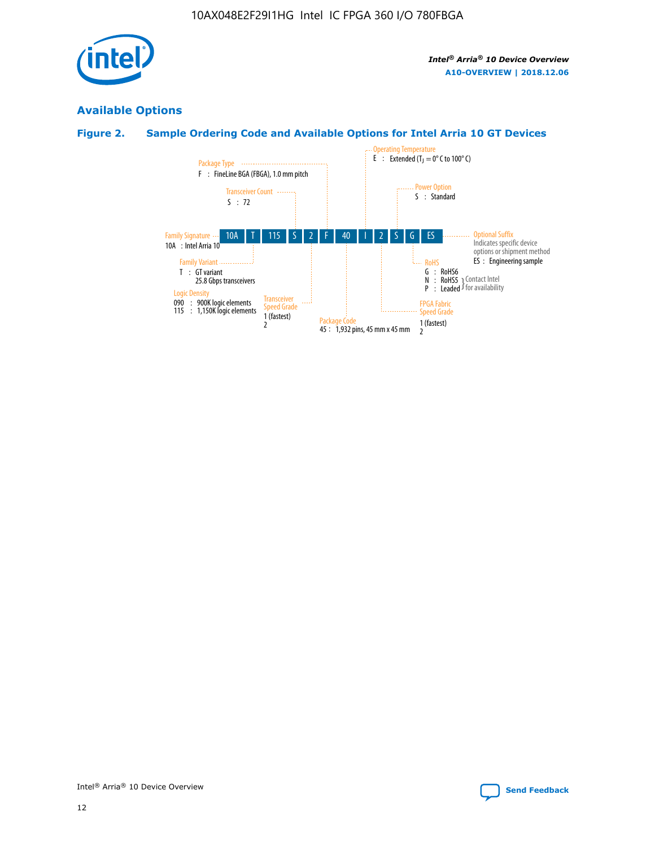

# **Available Options**

# **Figure 2. Sample Ordering Code and Available Options for Intel Arria 10 GT Devices**

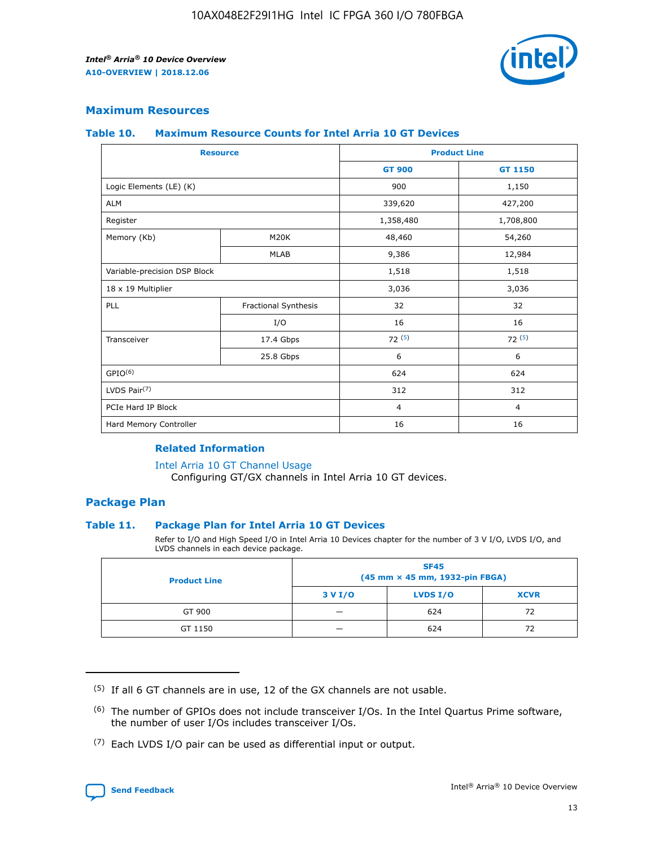

# **Maximum Resources**

#### **Table 10. Maximum Resource Counts for Intel Arria 10 GT Devices**

| <b>Resource</b>              |                      | <b>Product Line</b> |                |  |
|------------------------------|----------------------|---------------------|----------------|--|
|                              |                      | <b>GT 900</b>       | GT 1150        |  |
| Logic Elements (LE) (K)      |                      | 900                 | 1,150          |  |
| <b>ALM</b>                   |                      | 339,620             | 427,200        |  |
| Register                     |                      | 1,358,480           | 1,708,800      |  |
| Memory (Kb)                  | M <sub>20</sub> K    | 48,460              | 54,260         |  |
|                              | <b>MLAB</b>          | 9,386               | 12,984         |  |
| Variable-precision DSP Block |                      | 1,518               | 1,518          |  |
| 18 x 19 Multiplier           |                      | 3,036               | 3,036          |  |
| PLL                          | Fractional Synthesis | 32                  | 32             |  |
|                              | I/O                  | 16                  | 16             |  |
| Transceiver                  | 17.4 Gbps            | 72(5)               | 72(5)          |  |
|                              | 25.8 Gbps            | 6                   | 6              |  |
| GPIO <sup>(6)</sup>          |                      | 624                 | 624            |  |
| LVDS Pair $(7)$              |                      | 312                 | 312            |  |
| PCIe Hard IP Block           |                      | $\overline{4}$      | $\overline{4}$ |  |
| Hard Memory Controller       |                      | 16                  | 16             |  |

#### **Related Information**

#### [Intel Arria 10 GT Channel Usage](https://www.intel.com/content/www/us/en/programmable/documentation/nik1398707230472.html#nik1398707008178)

Configuring GT/GX channels in Intel Arria 10 GT devices.

## **Package Plan**

## **Table 11. Package Plan for Intel Arria 10 GT Devices**

Refer to I/O and High Speed I/O in Intel Arria 10 Devices chapter for the number of 3 V I/O, LVDS I/O, and LVDS channels in each device package.

| <b>Product Line</b> | <b>SF45</b><br>(45 mm × 45 mm, 1932-pin FBGA) |                 |             |  |  |  |  |
|---------------------|-----------------------------------------------|-----------------|-------------|--|--|--|--|
|                     | 3 V I/O                                       | <b>LVDS I/O</b> | <b>XCVR</b> |  |  |  |  |
| GT 900              |                                               | 624             | 72          |  |  |  |  |
| GT 1150             |                                               | 624             |             |  |  |  |  |

<sup>(7)</sup> Each LVDS I/O pair can be used as differential input or output.



 $(5)$  If all 6 GT channels are in use, 12 of the GX channels are not usable.

<sup>(6)</sup> The number of GPIOs does not include transceiver I/Os. In the Intel Quartus Prime software, the number of user I/Os includes transceiver I/Os.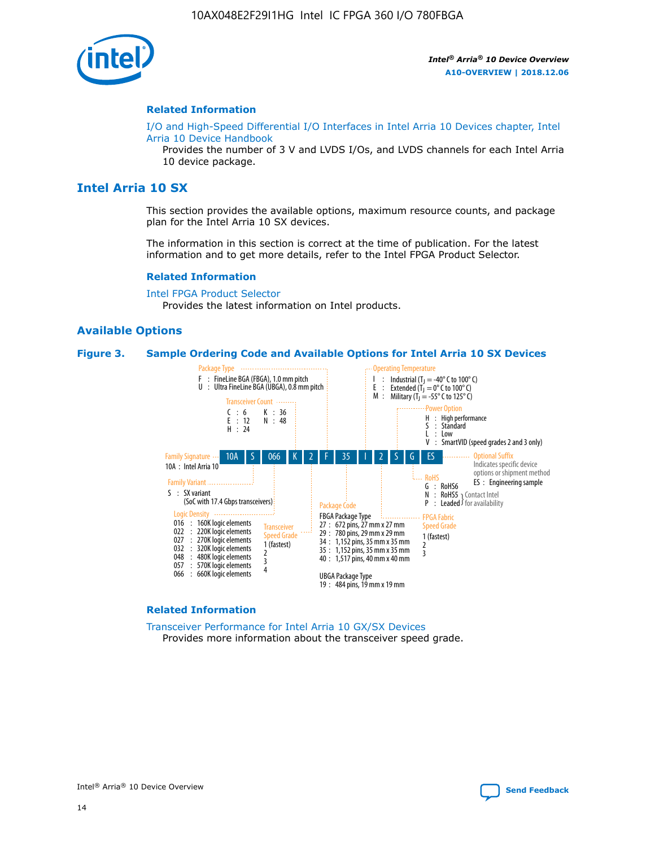

#### **Related Information**

[I/O and High-Speed Differential I/O Interfaces in Intel Arria 10 Devices chapter, Intel](https://www.intel.com/content/www/us/en/programmable/documentation/sam1403482614086.html#sam1403482030321) [Arria 10 Device Handbook](https://www.intel.com/content/www/us/en/programmable/documentation/sam1403482614086.html#sam1403482030321)

Provides the number of 3 V and LVDS I/Os, and LVDS channels for each Intel Arria 10 device package.

# **Intel Arria 10 SX**

This section provides the available options, maximum resource counts, and package plan for the Intel Arria 10 SX devices.

The information in this section is correct at the time of publication. For the latest information and to get more details, refer to the Intel FPGA Product Selector.

#### **Related Information**

[Intel FPGA Product Selector](http://www.altera.com/products/selector/psg-selector.html) Provides the latest information on Intel products.

## **Available Options**

#### **Figure 3. Sample Ordering Code and Available Options for Intel Arria 10 SX Devices**



#### **Related Information**

[Transceiver Performance for Intel Arria 10 GX/SX Devices](https://www.intel.com/content/www/us/en/programmable/documentation/mcn1413182292568.html#mcn1413213965502) Provides more information about the transceiver speed grade.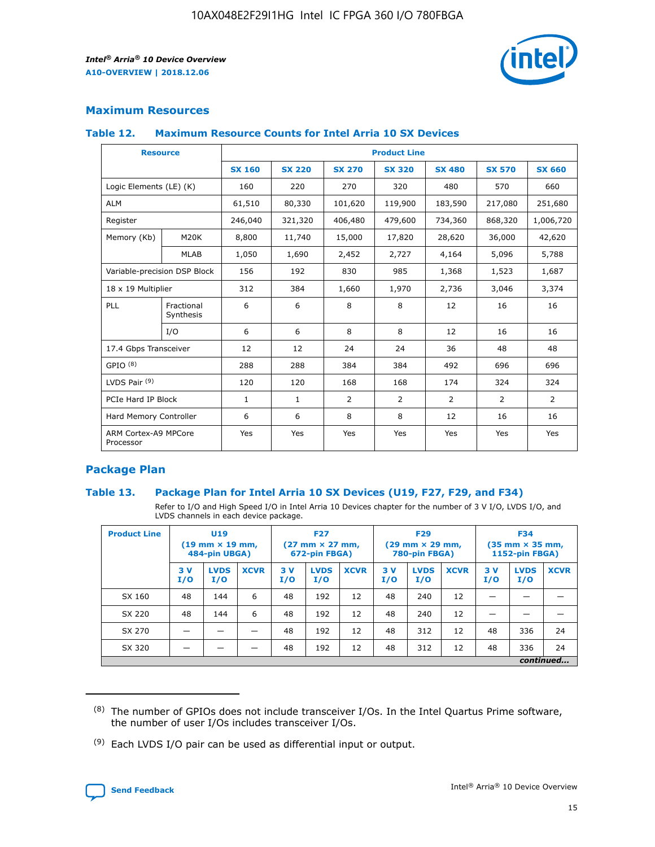

# **Maximum Resources**

#### **Table 12. Maximum Resource Counts for Intel Arria 10 SX Devices**

|                                   | <b>Resource</b>         | <b>Product Line</b> |               |                |                |               |                |                |  |  |  |
|-----------------------------------|-------------------------|---------------------|---------------|----------------|----------------|---------------|----------------|----------------|--|--|--|
|                                   |                         | <b>SX 160</b>       | <b>SX 220</b> | <b>SX 270</b>  | <b>SX 320</b>  | <b>SX 480</b> | <b>SX 570</b>  | <b>SX 660</b>  |  |  |  |
| Logic Elements (LE) (K)           |                         | 160                 | 220           | 270            | 320            | 480           | 570            | 660            |  |  |  |
| <b>ALM</b>                        |                         | 61,510              | 80,330        | 101,620        | 119,900        | 183,590       | 217,080        | 251,680        |  |  |  |
| Register                          |                         | 246,040             | 321,320       | 406,480        | 479,600        | 734,360       | 868,320        | 1,006,720      |  |  |  |
| Memory (Kb)                       | <b>M20K</b>             | 8,800               | 11,740        | 15,000         | 17,820         | 28,620        | 36,000         | 42,620         |  |  |  |
|                                   | <b>MLAB</b>             | 1,050               | 1,690         | 2,452          | 2,727          | 4,164         | 5,096          | 5,788          |  |  |  |
| Variable-precision DSP Block      |                         | 156                 | 192           | 830            | 985            | 1,368         | 1,523          | 1,687          |  |  |  |
| 18 x 19 Multiplier                |                         | 312                 | 384           | 1,660          | 1,970          | 2,736         | 3,046          | 3,374          |  |  |  |
| <b>PLL</b>                        | Fractional<br>Synthesis | 6                   | 6             | 8              | 8              | 12            | 16             | 16             |  |  |  |
|                                   | I/O                     | 6                   | 6             | 8              | 8              | 12            | 16             | 16             |  |  |  |
| 17.4 Gbps Transceiver             |                         | 12                  | 12            | 24             | 24             | 36            | 48             | 48             |  |  |  |
| GPIO <sup>(8)</sup>               |                         | 288                 | 288           | 384            | 384            | 492           | 696            | 696            |  |  |  |
| LVDS Pair $(9)$                   |                         | 120                 | 120           | 168            | 168            | 174           | 324            | 324            |  |  |  |
| PCIe Hard IP Block                |                         | $\mathbf{1}$        | $\mathbf{1}$  | $\overline{2}$ | $\overline{2}$ | 2             | $\overline{2}$ | $\overline{2}$ |  |  |  |
| Hard Memory Controller            |                         | 6                   | 6             | 8              | 8              | 12            | 16             | 16             |  |  |  |
| ARM Cortex-A9 MPCore<br>Processor |                         | Yes                 | Yes           | Yes            | Yes            | Yes           | Yes            | Yes            |  |  |  |

# **Package Plan**

## **Table 13. Package Plan for Intel Arria 10 SX Devices (U19, F27, F29, and F34)**

Refer to I/O and High Speed I/O in Intel Arria 10 Devices chapter for the number of 3 V I/O, LVDS I/O, and LVDS channels in each device package.

| <b>Product Line</b> | U <sub>19</sub><br>$(19 \text{ mm} \times 19 \text{ mm})$<br>484-pin UBGA) |                    | <b>F27</b><br>$(27 \text{ mm} \times 27 \text{ mm})$<br>672-pin FBGA) |           | <b>F29</b><br>$(29 \text{ mm} \times 29 \text{ mm})$<br>780-pin FBGA) |             |            | <b>F34</b><br>$(35 \text{ mm} \times 35 \text{ mm})$<br><b>1152-pin FBGA)</b> |             |           |                    |             |
|---------------------|----------------------------------------------------------------------------|--------------------|-----------------------------------------------------------------------|-----------|-----------------------------------------------------------------------|-------------|------------|-------------------------------------------------------------------------------|-------------|-----------|--------------------|-------------|
|                     | 3V<br>I/O                                                                  | <b>LVDS</b><br>I/O | <b>XCVR</b>                                                           | 3V<br>I/O | <b>LVDS</b><br>I/O                                                    | <b>XCVR</b> | 3 V<br>I/O | <b>LVDS</b><br>I/O                                                            | <b>XCVR</b> | 3V<br>I/O | <b>LVDS</b><br>I/O | <b>XCVR</b> |
| SX 160              | 48                                                                         | 144                | 6                                                                     | 48        | 192                                                                   | 12          | 48         | 240                                                                           | 12          | –         |                    |             |
| SX 220              | 48                                                                         | 144                | 6                                                                     | 48        | 192                                                                   | 12          | 48         | 240                                                                           | 12          |           |                    |             |
| SX 270              |                                                                            |                    |                                                                       | 48        | 192                                                                   | 12          | 48         | 312                                                                           | 12          | 48        | 336                | 24          |
| SX 320              |                                                                            |                    |                                                                       | 48        | 192                                                                   | 12          | 48         | 312                                                                           | 12          | 48        | 336                | 24          |
|                     |                                                                            |                    |                                                                       |           |                                                                       |             |            |                                                                               |             |           |                    | continued   |

 $(8)$  The number of GPIOs does not include transceiver I/Os. In the Intel Quartus Prime software, the number of user I/Os includes transceiver I/Os.

 $(9)$  Each LVDS I/O pair can be used as differential input or output.

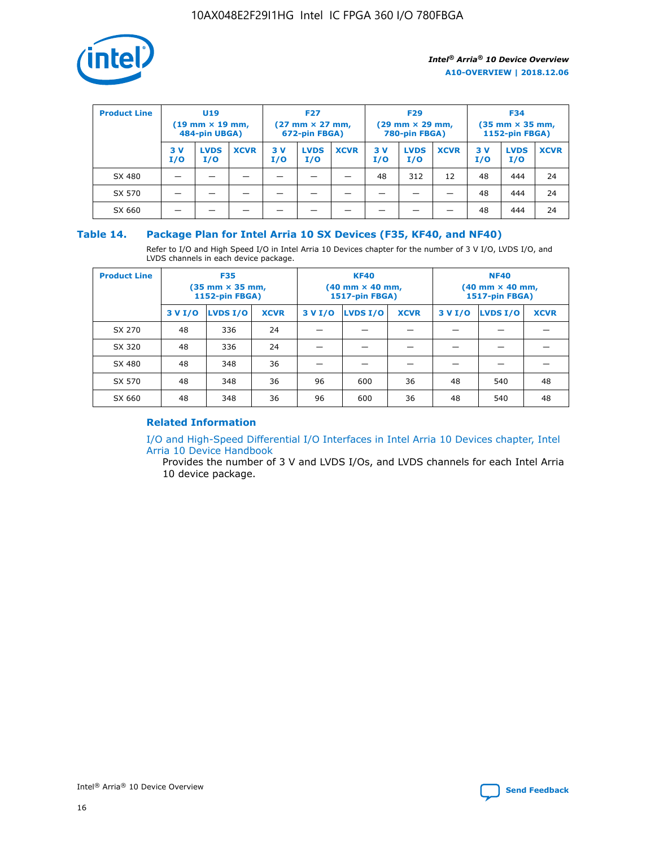

| <b>Product Line</b> | <b>U19</b><br>$(19 \text{ mm} \times 19 \text{ mm})$<br>484-pin UBGA) |                    | <b>F27</b><br>$(27 \text{ mm} \times 27 \text{ mm})$<br>672-pin FBGA) |           |                    | <b>F29</b><br>$(29$ mm $\times$ 29 mm,<br>780-pin FBGA) |           |                    | <b>F34</b><br>$(35$ mm $\times$ 35 mm,<br><b>1152-pin FBGA)</b> |           |                    |             |
|---------------------|-----------------------------------------------------------------------|--------------------|-----------------------------------------------------------------------|-----------|--------------------|---------------------------------------------------------|-----------|--------------------|-----------------------------------------------------------------|-----------|--------------------|-------------|
|                     | 3 V<br>I/O                                                            | <b>LVDS</b><br>I/O | <b>XCVR</b>                                                           | 3V<br>I/O | <b>LVDS</b><br>I/O | <b>XCVR</b>                                             | 3V<br>I/O | <b>LVDS</b><br>I/O | <b>XCVR</b>                                                     | 3V<br>I/O | <b>LVDS</b><br>I/O | <b>XCVR</b> |
| SX 480              |                                                                       |                    |                                                                       |           |                    |                                                         | 48        | 312                | 12                                                              | 48        | 444                | 24          |
| SX 570              |                                                                       |                    |                                                                       |           |                    |                                                         |           |                    |                                                                 | 48        | 444                | 24          |
| SX 660              |                                                                       |                    |                                                                       |           |                    |                                                         |           |                    |                                                                 | 48        | 444                | 24          |

## **Table 14. Package Plan for Intel Arria 10 SX Devices (F35, KF40, and NF40)**

Refer to I/O and High Speed I/O in Intel Arria 10 Devices chapter for the number of 3 V I/O, LVDS I/O, and LVDS channels in each device package.

| <b>Product Line</b> | <b>F35</b><br>(35 mm × 35 mm,<br><b>1152-pin FBGA)</b> |          |             |                                           | <b>KF40</b><br>(40 mm × 40 mm,<br>1517-pin FBGA) |    | <b>NF40</b><br>$(40 \text{ mm} \times 40 \text{ mm})$<br>1517-pin FBGA) |          |             |  |
|---------------------|--------------------------------------------------------|----------|-------------|-------------------------------------------|--------------------------------------------------|----|-------------------------------------------------------------------------|----------|-------------|--|
|                     | 3 V I/O                                                | LVDS I/O | <b>XCVR</b> | <b>LVDS I/O</b><br>3 V I/O<br><b>XCVR</b> |                                                  |    | 3 V I/O                                                                 | LVDS I/O | <b>XCVR</b> |  |
| SX 270              | 48                                                     | 336      | 24          |                                           |                                                  |    |                                                                         |          |             |  |
| SX 320              | 48                                                     | 336      | 24          |                                           |                                                  |    |                                                                         |          |             |  |
| SX 480              | 48                                                     | 348      | 36          |                                           |                                                  |    |                                                                         |          |             |  |
| SX 570              | 48                                                     | 348      | 36          | 96                                        | 600                                              | 36 | 48                                                                      | 540      | 48          |  |
| SX 660              | 48                                                     | 348      | 36          | 96                                        | 600                                              | 36 | 48                                                                      | 540      | 48          |  |

# **Related Information**

[I/O and High-Speed Differential I/O Interfaces in Intel Arria 10 Devices chapter, Intel](https://www.intel.com/content/www/us/en/programmable/documentation/sam1403482614086.html#sam1403482030321) [Arria 10 Device Handbook](https://www.intel.com/content/www/us/en/programmable/documentation/sam1403482614086.html#sam1403482030321)

Provides the number of 3 V and LVDS I/Os, and LVDS channels for each Intel Arria 10 device package.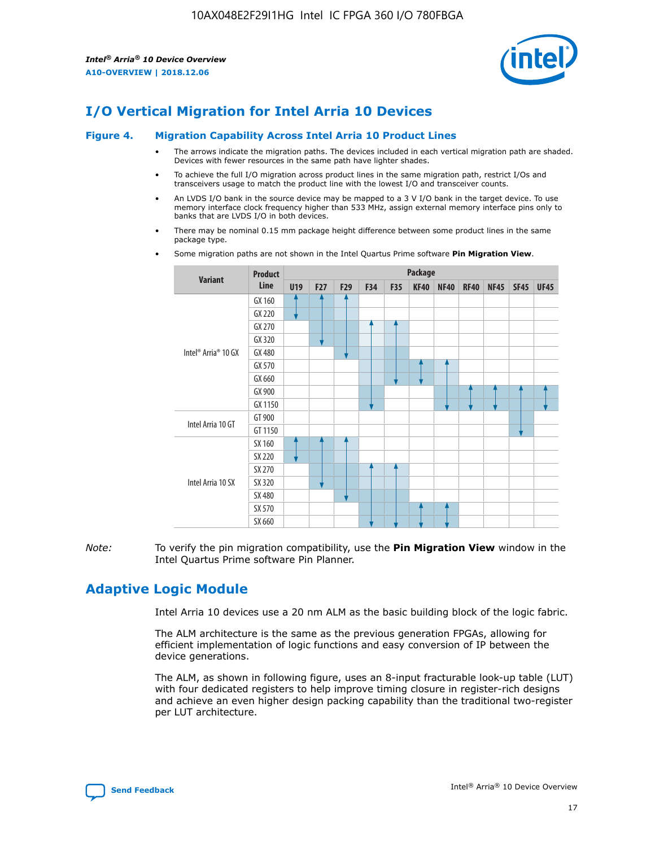

# **I/O Vertical Migration for Intel Arria 10 Devices**

#### **Figure 4. Migration Capability Across Intel Arria 10 Product Lines**

- The arrows indicate the migration paths. The devices included in each vertical migration path are shaded. Devices with fewer resources in the same path have lighter shades.
- To achieve the full I/O migration across product lines in the same migration path, restrict I/Os and transceivers usage to match the product line with the lowest I/O and transceiver counts.
- An LVDS I/O bank in the source device may be mapped to a 3 V I/O bank in the target device. To use memory interface clock frequency higher than 533 MHz, assign external memory interface pins only to banks that are LVDS I/O in both devices.
- There may be nominal 0.15 mm package height difference between some product lines in the same package type.
	- **Variant Product Line Package U19 F27 F29 F34 F35 KF40 NF40 RF40 NF45 SF45 UF45** Intel® Arria® 10 GX GX 160 GX 220 GX 270 GX 320 GX 480 GX 570 GX 660 GX 900 GX 1150 Intel Arria 10 GT GT 900 GT 1150 Intel Arria 10 SX SX 160 SX 220 SX 270 SX 320 SX 480 SX 570 SX 660
- Some migration paths are not shown in the Intel Quartus Prime software **Pin Migration View**.

*Note:* To verify the pin migration compatibility, use the **Pin Migration View** window in the Intel Quartus Prime software Pin Planner.

# **Adaptive Logic Module**

Intel Arria 10 devices use a 20 nm ALM as the basic building block of the logic fabric.

The ALM architecture is the same as the previous generation FPGAs, allowing for efficient implementation of logic functions and easy conversion of IP between the device generations.

The ALM, as shown in following figure, uses an 8-input fracturable look-up table (LUT) with four dedicated registers to help improve timing closure in register-rich designs and achieve an even higher design packing capability than the traditional two-register per LUT architecture.

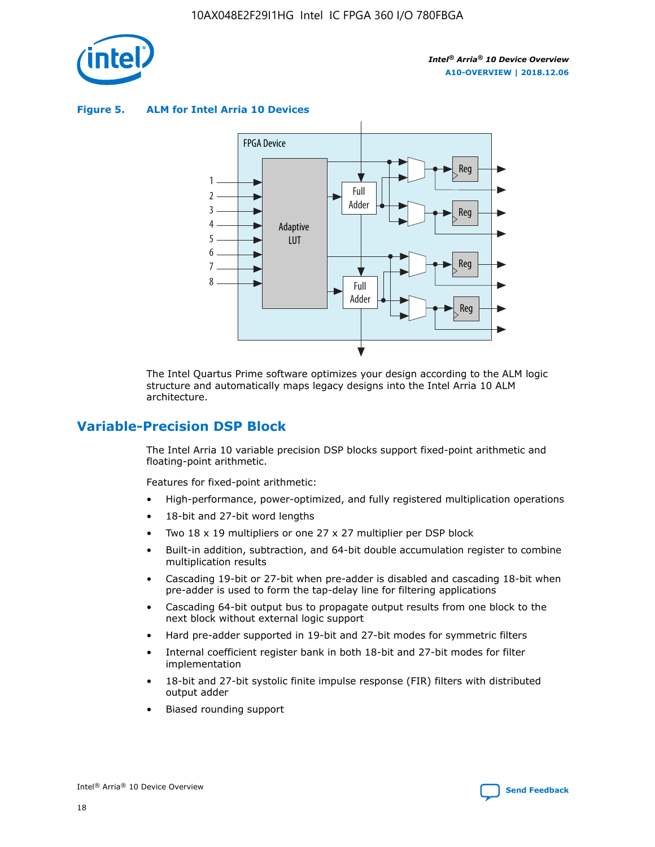

**Figure 5. ALM for Intel Arria 10 Devices**



The Intel Quartus Prime software optimizes your design according to the ALM logic structure and automatically maps legacy designs into the Intel Arria 10 ALM architecture.

# **Variable-Precision DSP Block**

The Intel Arria 10 variable precision DSP blocks support fixed-point arithmetic and floating-point arithmetic.

Features for fixed-point arithmetic:

- High-performance, power-optimized, and fully registered multiplication operations
- 18-bit and 27-bit word lengths
- Two 18 x 19 multipliers or one 27 x 27 multiplier per DSP block
- Built-in addition, subtraction, and 64-bit double accumulation register to combine multiplication results
- Cascading 19-bit or 27-bit when pre-adder is disabled and cascading 18-bit when pre-adder is used to form the tap-delay line for filtering applications
- Cascading 64-bit output bus to propagate output results from one block to the next block without external logic support
- Hard pre-adder supported in 19-bit and 27-bit modes for symmetric filters
- Internal coefficient register bank in both 18-bit and 27-bit modes for filter implementation
- 18-bit and 27-bit systolic finite impulse response (FIR) filters with distributed output adder
- Biased rounding support

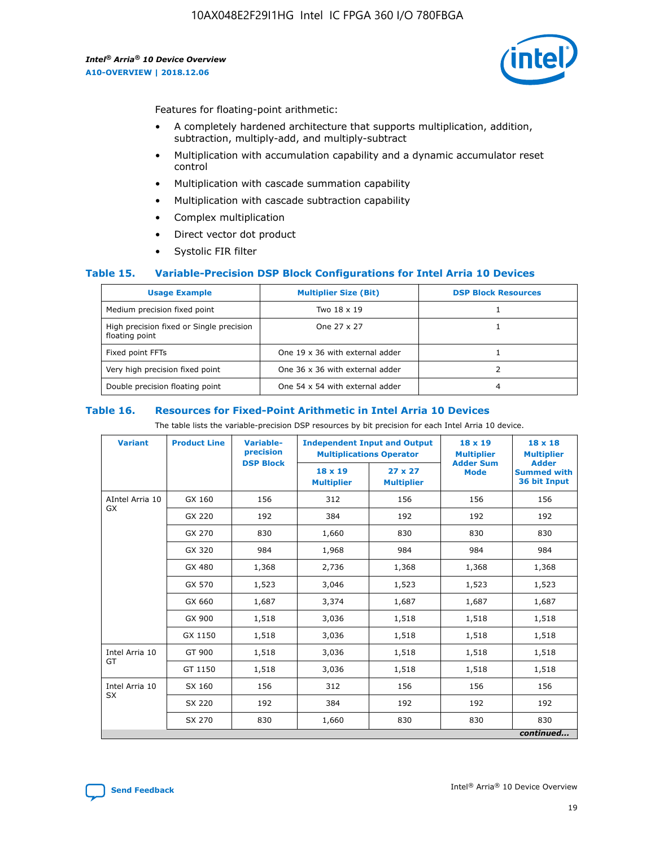

Features for floating-point arithmetic:

- A completely hardened architecture that supports multiplication, addition, subtraction, multiply-add, and multiply-subtract
- Multiplication with accumulation capability and a dynamic accumulator reset control
- Multiplication with cascade summation capability
- Multiplication with cascade subtraction capability
- Complex multiplication
- Direct vector dot product
- Systolic FIR filter

## **Table 15. Variable-Precision DSP Block Configurations for Intel Arria 10 Devices**

| <b>Usage Example</b>                                       | <b>Multiplier Size (Bit)</b>    | <b>DSP Block Resources</b> |
|------------------------------------------------------------|---------------------------------|----------------------------|
| Medium precision fixed point                               | Two 18 x 19                     |                            |
| High precision fixed or Single precision<br>floating point | One 27 x 27                     |                            |
| Fixed point FFTs                                           | One 19 x 36 with external adder |                            |
| Very high precision fixed point                            | One 36 x 36 with external adder |                            |
| Double precision floating point                            | One 54 x 54 with external adder | 4                          |

#### **Table 16. Resources for Fixed-Point Arithmetic in Intel Arria 10 Devices**

The table lists the variable-precision DSP resources by bit precision for each Intel Arria 10 device.

| <b>Variant</b>  | <b>Product Line</b> | <b>Variable-</b><br>precision<br><b>DSP Block</b> | <b>Independent Input and Output</b><br><b>Multiplications Operator</b> |                                     | 18 x 19<br><b>Multiplier</b><br><b>Adder Sum</b> | $18 \times 18$<br><b>Multiplier</b><br><b>Adder</b> |
|-----------------|---------------------|---------------------------------------------------|------------------------------------------------------------------------|-------------------------------------|--------------------------------------------------|-----------------------------------------------------|
|                 |                     |                                                   | 18 x 19<br><b>Multiplier</b>                                           | $27 \times 27$<br><b>Multiplier</b> | <b>Mode</b>                                      | <b>Summed with</b><br>36 bit Input                  |
| AIntel Arria 10 | GX 160              | 156                                               | 312                                                                    | 156                                 | 156                                              | 156                                                 |
| GX              | GX 220              | 192                                               | 384                                                                    | 192                                 | 192                                              | 192                                                 |
|                 | GX 270              | 830                                               | 1,660                                                                  | 830                                 | 830                                              | 830                                                 |
|                 | GX 320              | 984                                               | 1,968                                                                  | 984                                 | 984                                              | 984                                                 |
|                 | GX 480              | 1,368                                             | 2,736                                                                  | 1,368                               | 1,368                                            | 1,368                                               |
|                 | GX 570              | 1,523                                             | 3,046                                                                  | 1,523                               | 1,523                                            | 1,523                                               |
|                 | GX 660              | 1,687                                             | 3,374                                                                  | 1,687                               | 1,687                                            | 1,687                                               |
|                 | GX 900              | 1,518                                             | 3,036                                                                  | 1,518                               | 1,518                                            | 1,518                                               |
|                 | GX 1150             | 1,518                                             | 3,036                                                                  | 1,518                               | 1,518                                            | 1,518                                               |
| Intel Arria 10  | GT 900              | 1,518                                             | 3,036                                                                  | 1,518                               | 1,518                                            | 1,518                                               |
| GT              | GT 1150             | 1,518                                             | 3,036                                                                  | 1,518                               | 1,518                                            | 1,518                                               |
| Intel Arria 10  | SX 160              | 156                                               | 312                                                                    | 156                                 | 156                                              | 156                                                 |
| <b>SX</b>       | SX 220              | 192                                               | 384                                                                    | 192                                 | 192                                              | 192                                                 |
|                 | SX 270              | 830                                               | 830<br>1,660                                                           |                                     | 830                                              | 830                                                 |
|                 |                     |                                                   |                                                                        |                                     |                                                  | continued                                           |

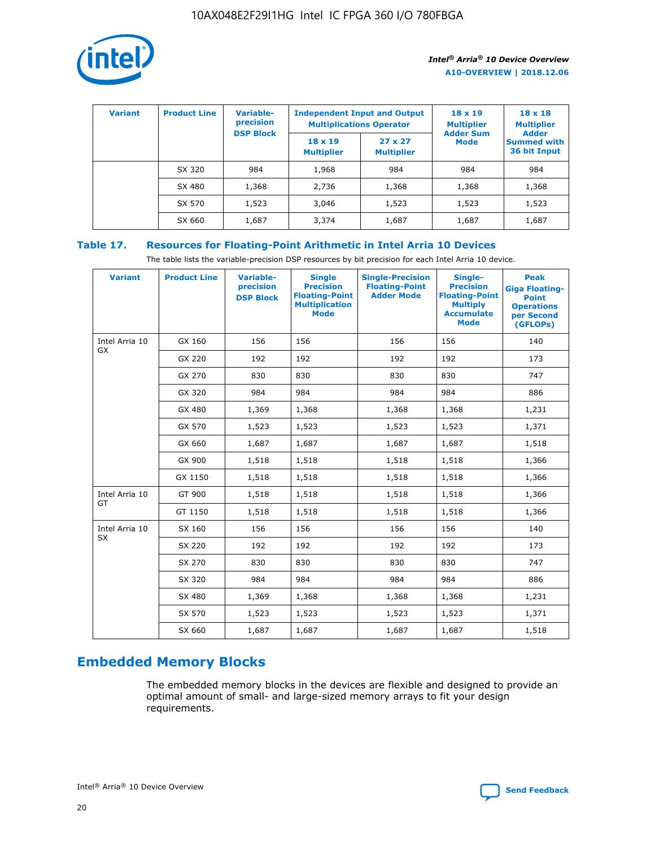

| <b>Variant</b> | <b>Product Line</b> | Variable-<br>precision | <b>Independent Input and Output</b><br><b>Multiplications Operator</b> |                                     | $18 \times 19$<br><b>Multiplier</b> | $18 \times 18$<br><b>Multiplier</b><br><b>Adder</b> |  |
|----------------|---------------------|------------------------|------------------------------------------------------------------------|-------------------------------------|-------------------------------------|-----------------------------------------------------|--|
|                |                     | <b>DSP Block</b>       | $18 \times 19$<br><b>Multiplier</b>                                    | $27 \times 27$<br><b>Multiplier</b> | <b>Adder Sum</b><br><b>Mode</b>     | <b>Summed with</b><br>36 bit Input                  |  |
|                | SX 320              | 984                    | 1,968                                                                  | 984                                 | 984                                 | 984                                                 |  |
|                | SX 480              | 1,368                  | 2,736                                                                  | 1,368                               | 1,368                               | 1,368                                               |  |
|                | SX 570              | 1,523                  | 3,046                                                                  | 1,523                               | 1,523                               | 1,523                                               |  |
|                | SX 660              | 1,687                  | 3,374                                                                  | 1,687                               | 1,687                               | 1,687                                               |  |

# **Table 17. Resources for Floating-Point Arithmetic in Intel Arria 10 Devices**

The table lists the variable-precision DSP resources by bit precision for each Intel Arria 10 device.

| <b>Variant</b> | <b>Product Line</b> | <b>Variable-</b><br>precision<br><b>DSP Block</b> | <b>Single</b><br><b>Precision</b><br><b>Floating-Point</b><br><b>Multiplication</b><br><b>Mode</b> | <b>Single-Precision</b><br><b>Floating-Point</b><br><b>Adder Mode</b> | Single-<br><b>Precision</b><br><b>Floating-Point</b><br><b>Multiply</b><br><b>Accumulate</b><br><b>Mode</b> | <b>Peak</b><br><b>Giga Floating-</b><br><b>Point</b><br><b>Operations</b><br>per Second<br>(GFLOPs) |
|----------------|---------------------|---------------------------------------------------|----------------------------------------------------------------------------------------------------|-----------------------------------------------------------------------|-------------------------------------------------------------------------------------------------------------|-----------------------------------------------------------------------------------------------------|
| Intel Arria 10 | GX 160              | 156                                               | 156                                                                                                | 156                                                                   | 156                                                                                                         | 140                                                                                                 |
| GX             | GX 220              | 192                                               | 192                                                                                                | 192                                                                   | 192                                                                                                         | 173                                                                                                 |
|                | GX 270              | 830                                               | 830                                                                                                | 830                                                                   | 830                                                                                                         | 747                                                                                                 |
|                | GX 320              | 984                                               | 984                                                                                                | 984                                                                   | 984                                                                                                         | 886                                                                                                 |
|                | GX 480              | 1,369                                             | 1,368                                                                                              | 1,368                                                                 | 1,368                                                                                                       | 1,231                                                                                               |
|                | GX 570              | 1,523                                             | 1,523                                                                                              | 1,523                                                                 | 1,523                                                                                                       | 1,371                                                                                               |
|                | GX 660              | 1,687                                             | 1,687                                                                                              | 1,687                                                                 | 1,687                                                                                                       | 1,518                                                                                               |
|                | GX 900              | 1,518                                             | 1,518                                                                                              | 1,518                                                                 | 1,518                                                                                                       | 1,366                                                                                               |
|                | GX 1150             | 1,518                                             | 1,518                                                                                              | 1,518                                                                 | 1,518                                                                                                       | 1,366                                                                                               |
| Intel Arria 10 | GT 900              | 1,518                                             | 1,518                                                                                              | 1,518                                                                 | 1,518                                                                                                       | 1,366                                                                                               |
| GT             | GT 1150             | 1,518                                             | 1,518                                                                                              | 1,518                                                                 | 1,518                                                                                                       | 1,366                                                                                               |
| Intel Arria 10 | SX 160              | 156                                               | 156                                                                                                | 156                                                                   | 156                                                                                                         | 140                                                                                                 |
| <b>SX</b>      | SX 220              | 192                                               | 192                                                                                                | 192                                                                   | 192                                                                                                         | 173                                                                                                 |
|                | SX 270              | 830                                               | 830                                                                                                | 830                                                                   | 830                                                                                                         | 747                                                                                                 |
|                | SX 320              | 984                                               | 984                                                                                                | 984                                                                   | 984                                                                                                         | 886                                                                                                 |
|                | SX 480              | 1,369                                             | 1,368                                                                                              | 1,368                                                                 | 1,368                                                                                                       | 1,231                                                                                               |
|                | SX 570              | 1,523                                             | 1,523                                                                                              | 1,523                                                                 | 1,523                                                                                                       | 1,371                                                                                               |
|                | SX 660              | 1,687                                             | 1,687                                                                                              | 1,687                                                                 | 1,687                                                                                                       | 1,518                                                                                               |

# **Embedded Memory Blocks**

The embedded memory blocks in the devices are flexible and designed to provide an optimal amount of small- and large-sized memory arrays to fit your design requirements.

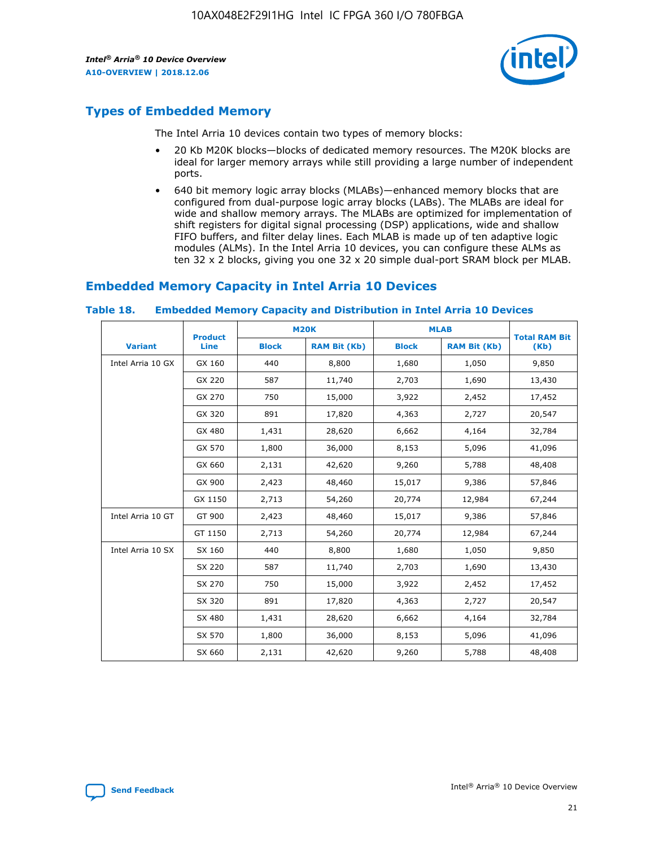

# **Types of Embedded Memory**

The Intel Arria 10 devices contain two types of memory blocks:

- 20 Kb M20K blocks—blocks of dedicated memory resources. The M20K blocks are ideal for larger memory arrays while still providing a large number of independent ports.
- 640 bit memory logic array blocks (MLABs)—enhanced memory blocks that are configured from dual-purpose logic array blocks (LABs). The MLABs are ideal for wide and shallow memory arrays. The MLABs are optimized for implementation of shift registers for digital signal processing (DSP) applications, wide and shallow FIFO buffers, and filter delay lines. Each MLAB is made up of ten adaptive logic modules (ALMs). In the Intel Arria 10 devices, you can configure these ALMs as ten 32 x 2 blocks, giving you one 32 x 20 simple dual-port SRAM block per MLAB.

# **Embedded Memory Capacity in Intel Arria 10 Devices**

|                   | <b>Product</b> |              | <b>M20K</b>         | <b>MLAB</b>  |                     | <b>Total RAM Bit</b> |
|-------------------|----------------|--------------|---------------------|--------------|---------------------|----------------------|
| <b>Variant</b>    | Line           | <b>Block</b> | <b>RAM Bit (Kb)</b> | <b>Block</b> | <b>RAM Bit (Kb)</b> | (Kb)                 |
| Intel Arria 10 GX | GX 160         | 440          | 8,800               | 1,680        | 1,050               | 9,850                |
|                   | GX 220         | 587          | 11,740              | 2,703        | 1,690               | 13,430               |
|                   | GX 270         | 750          | 15,000              | 3,922        | 2,452               | 17,452               |
|                   | GX 320         | 891          | 17,820              | 4,363        | 2,727               | 20,547               |
|                   | GX 480         | 1,431        | 28,620              | 6,662        | 4,164               | 32,784               |
|                   | GX 570         | 1,800        | 36,000              | 8,153        | 5,096               | 41,096               |
|                   | GX 660         | 2,131        | 42,620              | 9,260        | 5,788               | 48,408               |
|                   | GX 900         | 2,423        | 48,460              | 15,017       | 9,386               | 57,846               |
|                   | GX 1150        | 2,713        | 54,260              | 20,774       | 12,984              | 67,244               |
| Intel Arria 10 GT | GT 900         | 2,423        | 48,460              | 15,017       | 9,386               | 57,846               |
|                   | GT 1150        | 2,713        | 54,260              | 20,774       | 12,984              | 67,244               |
| Intel Arria 10 SX | SX 160         | 440          | 8,800               | 1,680        | 1,050               | 9,850                |
|                   | SX 220         | 587          | 11,740              | 2,703        | 1,690               | 13,430               |
|                   | SX 270         | 750          | 15,000              | 3,922        | 2,452               | 17,452               |
|                   | SX 320         | 891          | 17,820              | 4,363        | 2,727               | 20,547               |
|                   | SX 480         | 1,431        | 28,620              | 6,662        | 4,164               | 32,784               |
|                   | SX 570         | 1,800        | 36,000              | 8,153        | 5,096               | 41,096               |
|                   | SX 660         | 2,131        | 42,620              | 9,260        | 5,788               | 48,408               |

#### **Table 18. Embedded Memory Capacity and Distribution in Intel Arria 10 Devices**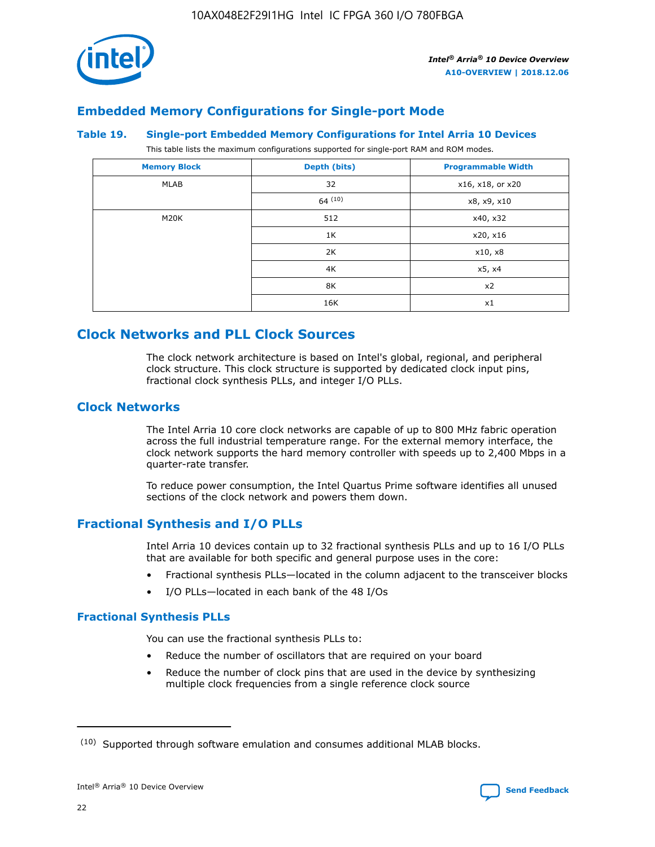

# **Embedded Memory Configurations for Single-port Mode**

#### **Table 19. Single-port Embedded Memory Configurations for Intel Arria 10 Devices**

This table lists the maximum configurations supported for single-port RAM and ROM modes.

| <b>Memory Block</b> | Depth (bits) | <b>Programmable Width</b> |
|---------------------|--------------|---------------------------|
| MLAB                | 32           | x16, x18, or x20          |
|                     | 64(10)       | x8, x9, x10               |
| M20K                | 512          | x40, x32                  |
|                     | 1K           | x20, x16                  |
|                     | 2K           | x10, x8                   |
|                     | 4K           | x5, x4                    |
|                     | 8K           | x2                        |
|                     | 16K          | x1                        |

# **Clock Networks and PLL Clock Sources**

The clock network architecture is based on Intel's global, regional, and peripheral clock structure. This clock structure is supported by dedicated clock input pins, fractional clock synthesis PLLs, and integer I/O PLLs.

# **Clock Networks**

The Intel Arria 10 core clock networks are capable of up to 800 MHz fabric operation across the full industrial temperature range. For the external memory interface, the clock network supports the hard memory controller with speeds up to 2,400 Mbps in a quarter-rate transfer.

To reduce power consumption, the Intel Quartus Prime software identifies all unused sections of the clock network and powers them down.

# **Fractional Synthesis and I/O PLLs**

Intel Arria 10 devices contain up to 32 fractional synthesis PLLs and up to 16 I/O PLLs that are available for both specific and general purpose uses in the core:

- Fractional synthesis PLLs—located in the column adjacent to the transceiver blocks
- I/O PLLs—located in each bank of the 48 I/Os

## **Fractional Synthesis PLLs**

You can use the fractional synthesis PLLs to:

- Reduce the number of oscillators that are required on your board
- Reduce the number of clock pins that are used in the device by synthesizing multiple clock frequencies from a single reference clock source

<sup>(10)</sup> Supported through software emulation and consumes additional MLAB blocks.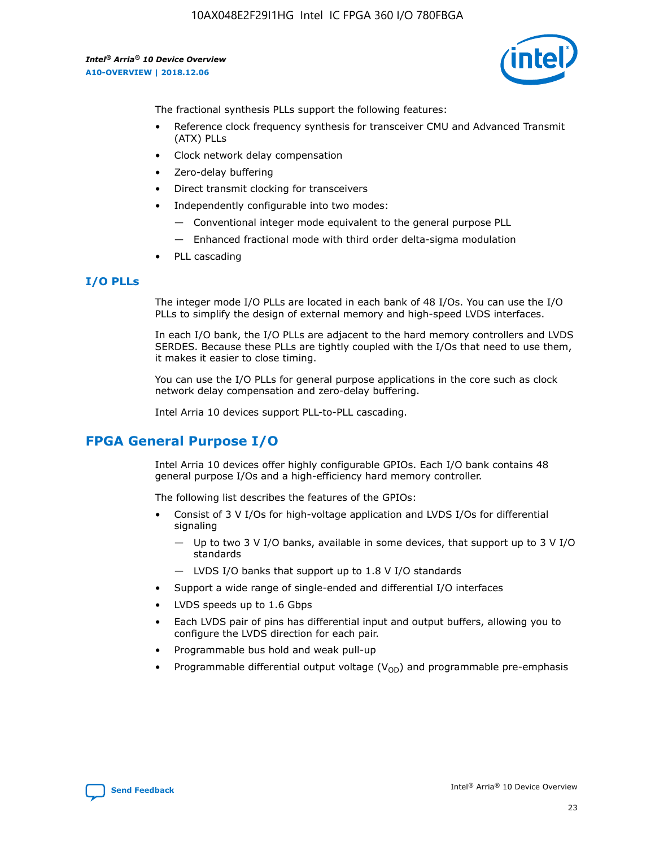

The fractional synthesis PLLs support the following features:

- Reference clock frequency synthesis for transceiver CMU and Advanced Transmit (ATX) PLLs
- Clock network delay compensation
- Zero-delay buffering
- Direct transmit clocking for transceivers
- Independently configurable into two modes:
	- Conventional integer mode equivalent to the general purpose PLL
	- Enhanced fractional mode with third order delta-sigma modulation
- PLL cascading

# **I/O PLLs**

The integer mode I/O PLLs are located in each bank of 48 I/Os. You can use the I/O PLLs to simplify the design of external memory and high-speed LVDS interfaces.

In each I/O bank, the I/O PLLs are adjacent to the hard memory controllers and LVDS SERDES. Because these PLLs are tightly coupled with the I/Os that need to use them, it makes it easier to close timing.

You can use the I/O PLLs for general purpose applications in the core such as clock network delay compensation and zero-delay buffering.

Intel Arria 10 devices support PLL-to-PLL cascading.

# **FPGA General Purpose I/O**

Intel Arria 10 devices offer highly configurable GPIOs. Each I/O bank contains 48 general purpose I/Os and a high-efficiency hard memory controller.

The following list describes the features of the GPIOs:

- Consist of 3 V I/Os for high-voltage application and LVDS I/Os for differential signaling
	- Up to two 3 V I/O banks, available in some devices, that support up to 3 V I/O standards
	- LVDS I/O banks that support up to 1.8 V I/O standards
- Support a wide range of single-ended and differential I/O interfaces
- LVDS speeds up to 1.6 Gbps
- Each LVDS pair of pins has differential input and output buffers, allowing you to configure the LVDS direction for each pair.
- Programmable bus hold and weak pull-up
- Programmable differential output voltage  $(V_{OD})$  and programmable pre-emphasis

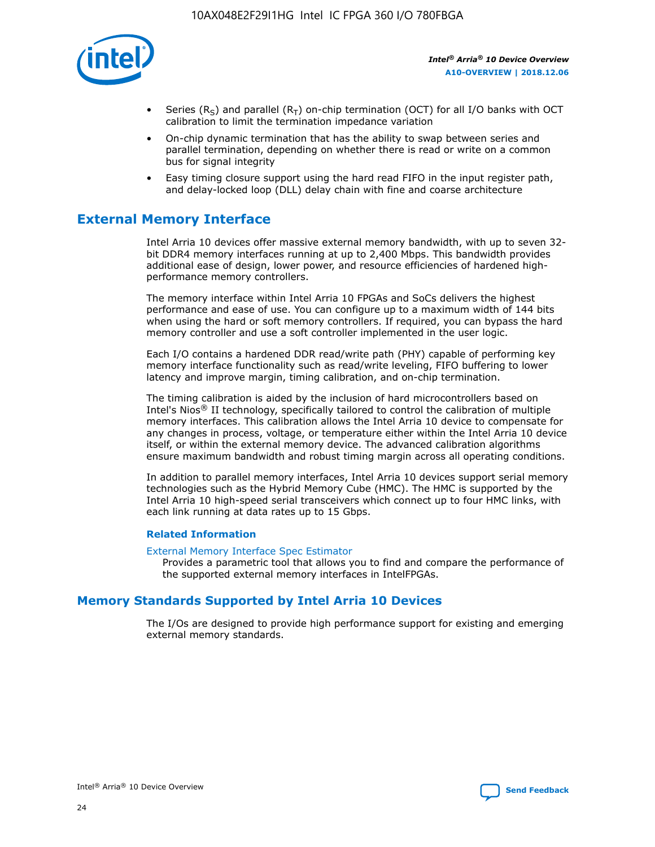

- Series (R<sub>S</sub>) and parallel (R<sub>T</sub>) on-chip termination (OCT) for all I/O banks with OCT calibration to limit the termination impedance variation
- On-chip dynamic termination that has the ability to swap between series and parallel termination, depending on whether there is read or write on a common bus for signal integrity
- Easy timing closure support using the hard read FIFO in the input register path, and delay-locked loop (DLL) delay chain with fine and coarse architecture

# **External Memory Interface**

Intel Arria 10 devices offer massive external memory bandwidth, with up to seven 32 bit DDR4 memory interfaces running at up to 2,400 Mbps. This bandwidth provides additional ease of design, lower power, and resource efficiencies of hardened highperformance memory controllers.

The memory interface within Intel Arria 10 FPGAs and SoCs delivers the highest performance and ease of use. You can configure up to a maximum width of 144 bits when using the hard or soft memory controllers. If required, you can bypass the hard memory controller and use a soft controller implemented in the user logic.

Each I/O contains a hardened DDR read/write path (PHY) capable of performing key memory interface functionality such as read/write leveling, FIFO buffering to lower latency and improve margin, timing calibration, and on-chip termination.

The timing calibration is aided by the inclusion of hard microcontrollers based on Intel's Nios® II technology, specifically tailored to control the calibration of multiple memory interfaces. This calibration allows the Intel Arria 10 device to compensate for any changes in process, voltage, or temperature either within the Intel Arria 10 device itself, or within the external memory device. The advanced calibration algorithms ensure maximum bandwidth and robust timing margin across all operating conditions.

In addition to parallel memory interfaces, Intel Arria 10 devices support serial memory technologies such as the Hybrid Memory Cube (HMC). The HMC is supported by the Intel Arria 10 high-speed serial transceivers which connect up to four HMC links, with each link running at data rates up to 15 Gbps.

## **Related Information**

#### [External Memory Interface Spec Estimator](http://www.altera.com/technology/memory/estimator/mem-emif-index.html)

Provides a parametric tool that allows you to find and compare the performance of the supported external memory interfaces in IntelFPGAs.

# **Memory Standards Supported by Intel Arria 10 Devices**

The I/Os are designed to provide high performance support for existing and emerging external memory standards.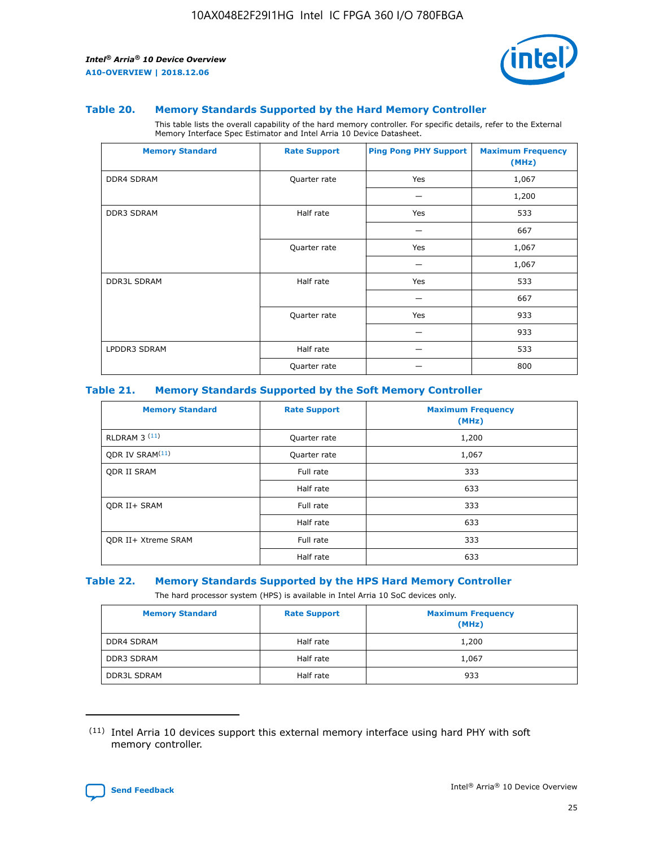

#### **Table 20. Memory Standards Supported by the Hard Memory Controller**

This table lists the overall capability of the hard memory controller. For specific details, refer to the External Memory Interface Spec Estimator and Intel Arria 10 Device Datasheet.

| <b>Memory Standard</b> | <b>Rate Support</b> | <b>Ping Pong PHY Support</b> | <b>Maximum Frequency</b><br>(MHz) |
|------------------------|---------------------|------------------------------|-----------------------------------|
| <b>DDR4 SDRAM</b>      | Quarter rate        | Yes                          | 1,067                             |
|                        |                     |                              | 1,200                             |
| <b>DDR3 SDRAM</b>      | Half rate           | Yes                          | 533                               |
|                        |                     |                              | 667                               |
|                        | Quarter rate        | Yes                          | 1,067                             |
|                        |                     |                              | 1,067                             |
| <b>DDR3L SDRAM</b>     | Half rate           | Yes                          | 533                               |
|                        |                     |                              | 667                               |
|                        | Quarter rate        | Yes                          | 933                               |
|                        |                     |                              | 933                               |
| LPDDR3 SDRAM           | Half rate           |                              | 533                               |
|                        | Quarter rate        |                              | 800                               |

#### **Table 21. Memory Standards Supported by the Soft Memory Controller**

| <b>Memory Standard</b>      | <b>Rate Support</b> | <b>Maximum Frequency</b><br>(MHz) |
|-----------------------------|---------------------|-----------------------------------|
| <b>RLDRAM 3 (11)</b>        | Quarter rate        | 1,200                             |
| ODR IV SRAM <sup>(11)</sup> | Quarter rate        | 1,067                             |
| <b>ODR II SRAM</b>          | Full rate           | 333                               |
|                             | Half rate           | 633                               |
| <b>ODR II+ SRAM</b>         | Full rate           | 333                               |
|                             | Half rate           | 633                               |
| <b>ODR II+ Xtreme SRAM</b>  | Full rate           | 333                               |
|                             | Half rate           | 633                               |

#### **Table 22. Memory Standards Supported by the HPS Hard Memory Controller**

The hard processor system (HPS) is available in Intel Arria 10 SoC devices only.

| <b>Memory Standard</b> | <b>Rate Support</b> | <b>Maximum Frequency</b><br>(MHz) |
|------------------------|---------------------|-----------------------------------|
| <b>DDR4 SDRAM</b>      | Half rate           | 1,200                             |
| <b>DDR3 SDRAM</b>      | Half rate           | 1,067                             |
| <b>DDR3L SDRAM</b>     | Half rate           | 933                               |

<sup>(11)</sup> Intel Arria 10 devices support this external memory interface using hard PHY with soft memory controller.

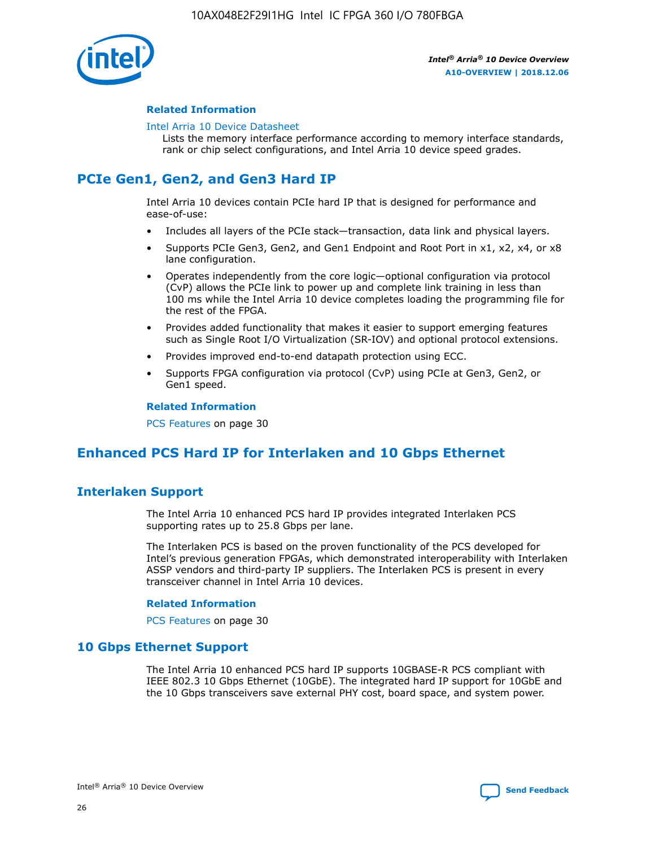

## **Related Information**

#### [Intel Arria 10 Device Datasheet](https://www.intel.com/content/www/us/en/programmable/documentation/mcn1413182292568.html#mcn1413182153340)

Lists the memory interface performance according to memory interface standards, rank or chip select configurations, and Intel Arria 10 device speed grades.

# **PCIe Gen1, Gen2, and Gen3 Hard IP**

Intel Arria 10 devices contain PCIe hard IP that is designed for performance and ease-of-use:

- Includes all layers of the PCIe stack—transaction, data link and physical layers.
- Supports PCIe Gen3, Gen2, and Gen1 Endpoint and Root Port in x1, x2, x4, or x8 lane configuration.
- Operates independently from the core logic—optional configuration via protocol (CvP) allows the PCIe link to power up and complete link training in less than 100 ms while the Intel Arria 10 device completes loading the programming file for the rest of the FPGA.
- Provides added functionality that makes it easier to support emerging features such as Single Root I/O Virtualization (SR-IOV) and optional protocol extensions.
- Provides improved end-to-end datapath protection using ECC.
- Supports FPGA configuration via protocol (CvP) using PCIe at Gen3, Gen2, or Gen1 speed.

#### **Related Information**

PCS Features on page 30

# **Enhanced PCS Hard IP for Interlaken and 10 Gbps Ethernet**

# **Interlaken Support**

The Intel Arria 10 enhanced PCS hard IP provides integrated Interlaken PCS supporting rates up to 25.8 Gbps per lane.

The Interlaken PCS is based on the proven functionality of the PCS developed for Intel's previous generation FPGAs, which demonstrated interoperability with Interlaken ASSP vendors and third-party IP suppliers. The Interlaken PCS is present in every transceiver channel in Intel Arria 10 devices.

## **Related Information**

PCS Features on page 30

# **10 Gbps Ethernet Support**

The Intel Arria 10 enhanced PCS hard IP supports 10GBASE-R PCS compliant with IEEE 802.3 10 Gbps Ethernet (10GbE). The integrated hard IP support for 10GbE and the 10 Gbps transceivers save external PHY cost, board space, and system power.

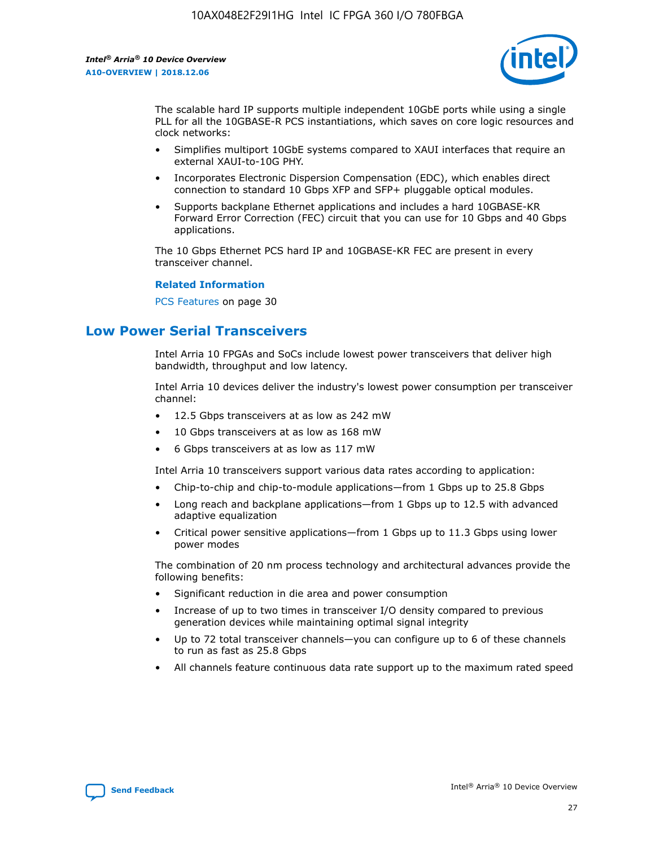

The scalable hard IP supports multiple independent 10GbE ports while using a single PLL for all the 10GBASE-R PCS instantiations, which saves on core logic resources and clock networks:

- Simplifies multiport 10GbE systems compared to XAUI interfaces that require an external XAUI-to-10G PHY.
- Incorporates Electronic Dispersion Compensation (EDC), which enables direct connection to standard 10 Gbps XFP and SFP+ pluggable optical modules.
- Supports backplane Ethernet applications and includes a hard 10GBASE-KR Forward Error Correction (FEC) circuit that you can use for 10 Gbps and 40 Gbps applications.

The 10 Gbps Ethernet PCS hard IP and 10GBASE-KR FEC are present in every transceiver channel.

#### **Related Information**

PCS Features on page 30

# **Low Power Serial Transceivers**

Intel Arria 10 FPGAs and SoCs include lowest power transceivers that deliver high bandwidth, throughput and low latency.

Intel Arria 10 devices deliver the industry's lowest power consumption per transceiver channel:

- 12.5 Gbps transceivers at as low as 242 mW
- 10 Gbps transceivers at as low as 168 mW
- 6 Gbps transceivers at as low as 117 mW

Intel Arria 10 transceivers support various data rates according to application:

- Chip-to-chip and chip-to-module applications—from 1 Gbps up to 25.8 Gbps
- Long reach and backplane applications—from 1 Gbps up to 12.5 with advanced adaptive equalization
- Critical power sensitive applications—from 1 Gbps up to 11.3 Gbps using lower power modes

The combination of 20 nm process technology and architectural advances provide the following benefits:

- Significant reduction in die area and power consumption
- Increase of up to two times in transceiver I/O density compared to previous generation devices while maintaining optimal signal integrity
- Up to 72 total transceiver channels—you can configure up to 6 of these channels to run as fast as 25.8 Gbps
- All channels feature continuous data rate support up to the maximum rated speed

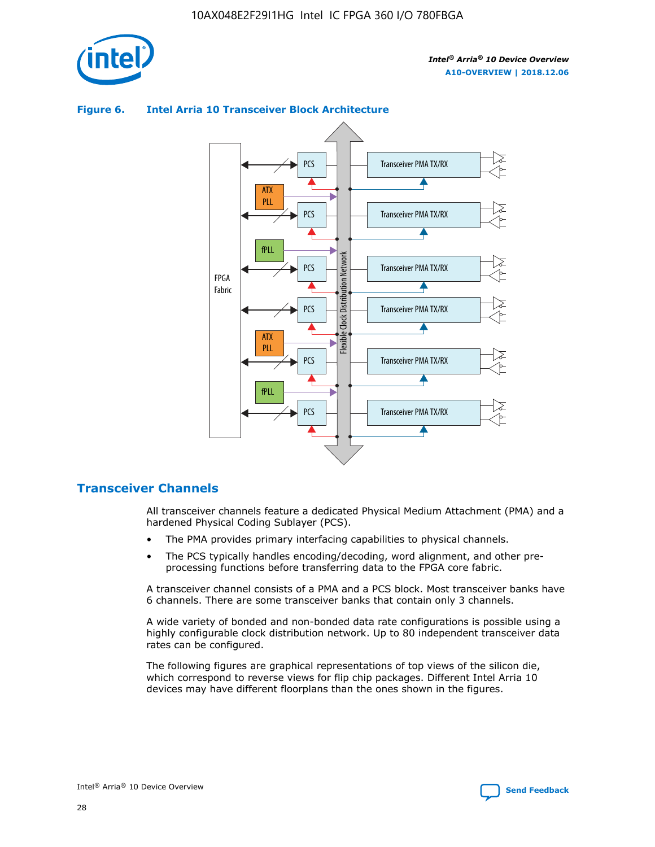

#### Transceiver PMA TX/RX PCS ATX PLL Transceiver PMA TX/RX PCS fPLL Network Flexible Clock Distribution Network PCS Transceiver PMA TX/RX FPGA **Clock Distribution** Fabric PCS Transceiver PMA TX/RX ATX Flexible PLL PCS Transceiver PMA TX/RX ▲ fPLL Transceiver PMA TX/RX PCS

## **Figure 6. Intel Arria 10 Transceiver Block Architecture**

# **Transceiver Channels**

All transceiver channels feature a dedicated Physical Medium Attachment (PMA) and a hardened Physical Coding Sublayer (PCS).

4

- The PMA provides primary interfacing capabilities to physical channels.
- The PCS typically handles encoding/decoding, word alignment, and other preprocessing functions before transferring data to the FPGA core fabric.

A transceiver channel consists of a PMA and a PCS block. Most transceiver banks have 6 channels. There are some transceiver banks that contain only 3 channels.

A wide variety of bonded and non-bonded data rate configurations is possible using a highly configurable clock distribution network. Up to 80 independent transceiver data rates can be configured.

The following figures are graphical representations of top views of the silicon die, which correspond to reverse views for flip chip packages. Different Intel Arria 10 devices may have different floorplans than the ones shown in the figures.

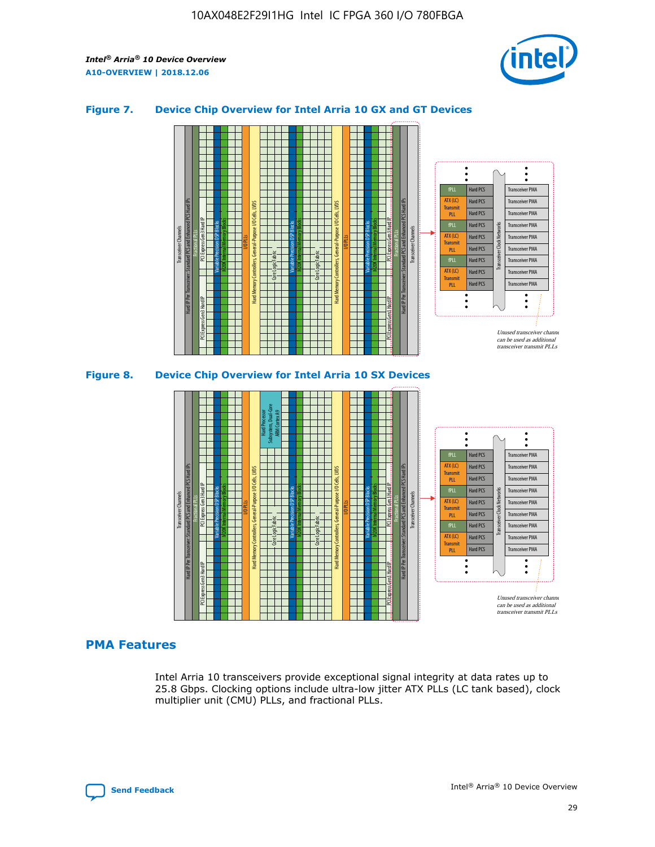

## **Figure 7. Device Chip Overview for Intel Arria 10 GX and GT Devices**





# **PMA Features**

Intel Arria 10 transceivers provide exceptional signal integrity at data rates up to 25.8 Gbps. Clocking options include ultra-low jitter ATX PLLs (LC tank based), clock multiplier unit (CMU) PLLs, and fractional PLLs.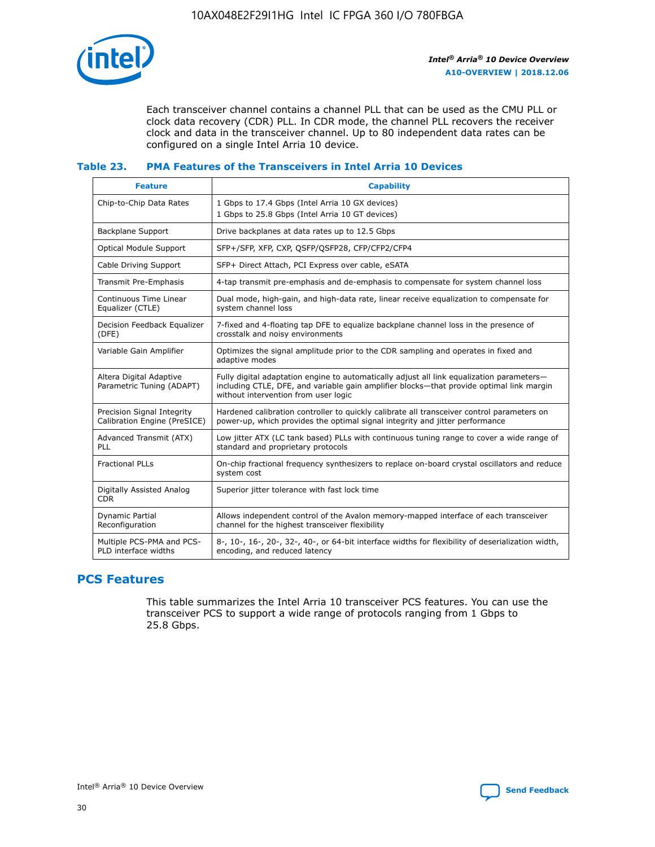

Each transceiver channel contains a channel PLL that can be used as the CMU PLL or clock data recovery (CDR) PLL. In CDR mode, the channel PLL recovers the receiver clock and data in the transceiver channel. Up to 80 independent data rates can be configured on a single Intel Arria 10 device.

## **Table 23. PMA Features of the Transceivers in Intel Arria 10 Devices**

| <b>Feature</b>                                             | <b>Capability</b>                                                                                                                                                                                                             |
|------------------------------------------------------------|-------------------------------------------------------------------------------------------------------------------------------------------------------------------------------------------------------------------------------|
| Chip-to-Chip Data Rates                                    | 1 Gbps to 17.4 Gbps (Intel Arria 10 GX devices)<br>1 Gbps to 25.8 Gbps (Intel Arria 10 GT devices)                                                                                                                            |
| <b>Backplane Support</b>                                   | Drive backplanes at data rates up to 12.5 Gbps                                                                                                                                                                                |
| <b>Optical Module Support</b>                              | SFP+/SFP, XFP, CXP, QSFP/QSFP28, CFP/CFP2/CFP4                                                                                                                                                                                |
| Cable Driving Support                                      | SFP+ Direct Attach, PCI Express over cable, eSATA                                                                                                                                                                             |
| Transmit Pre-Emphasis                                      | 4-tap transmit pre-emphasis and de-emphasis to compensate for system channel loss                                                                                                                                             |
| Continuous Time Linear<br>Equalizer (CTLE)                 | Dual mode, high-gain, and high-data rate, linear receive equalization to compensate for<br>system channel loss                                                                                                                |
| Decision Feedback Equalizer<br>(DFE)                       | 7-fixed and 4-floating tap DFE to equalize backplane channel loss in the presence of<br>crosstalk and noisy environments                                                                                                      |
| Variable Gain Amplifier                                    | Optimizes the signal amplitude prior to the CDR sampling and operates in fixed and<br>adaptive modes                                                                                                                          |
| Altera Digital Adaptive<br>Parametric Tuning (ADAPT)       | Fully digital adaptation engine to automatically adjust all link equalization parameters-<br>including CTLE, DFE, and variable gain amplifier blocks—that provide optimal link margin<br>without intervention from user logic |
| Precision Signal Integrity<br>Calibration Engine (PreSICE) | Hardened calibration controller to quickly calibrate all transceiver control parameters on<br>power-up, which provides the optimal signal integrity and jitter performance                                                    |
| Advanced Transmit (ATX)<br><b>PLL</b>                      | Low jitter ATX (LC tank based) PLLs with continuous tuning range to cover a wide range of<br>standard and proprietary protocols                                                                                               |
| <b>Fractional PLLs</b>                                     | On-chip fractional frequency synthesizers to replace on-board crystal oscillators and reduce<br>system cost                                                                                                                   |
| Digitally Assisted Analog<br><b>CDR</b>                    | Superior jitter tolerance with fast lock time                                                                                                                                                                                 |
| <b>Dynamic Partial</b><br>Reconfiguration                  | Allows independent control of the Avalon memory-mapped interface of each transceiver<br>channel for the highest transceiver flexibility                                                                                       |
| Multiple PCS-PMA and PCS-<br>PLD interface widths          | 8-, 10-, 16-, 20-, 32-, 40-, or 64-bit interface widths for flexibility of deserialization width,<br>encoding, and reduced latency                                                                                            |

# **PCS Features**

This table summarizes the Intel Arria 10 transceiver PCS features. You can use the transceiver PCS to support a wide range of protocols ranging from 1 Gbps to 25.8 Gbps.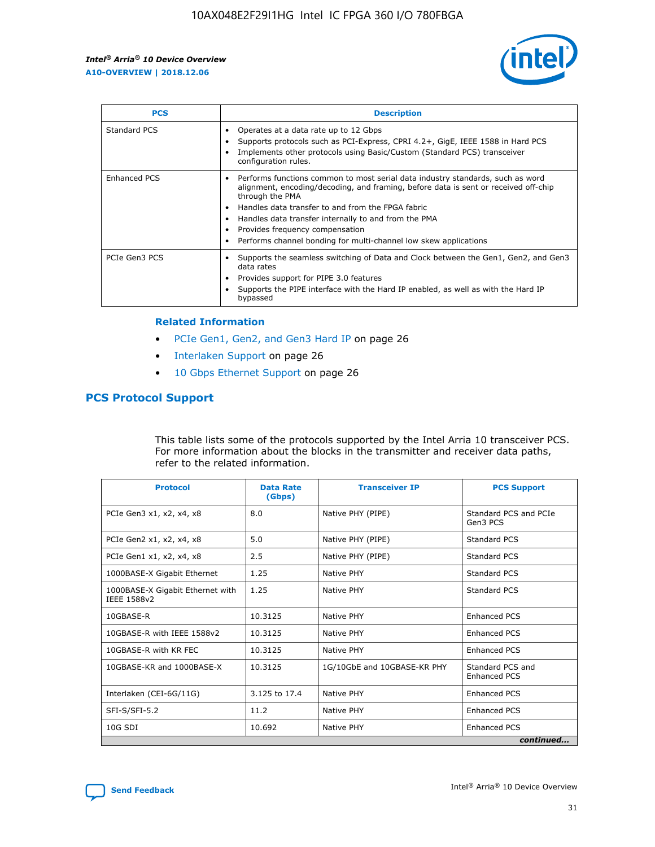

| <b>PCS</b>    | <b>Description</b>                                                                                                                                                                                                                                                                                                                                                                                             |
|---------------|----------------------------------------------------------------------------------------------------------------------------------------------------------------------------------------------------------------------------------------------------------------------------------------------------------------------------------------------------------------------------------------------------------------|
| Standard PCS  | Operates at a data rate up to 12 Gbps<br>Supports protocols such as PCI-Express, CPRI 4.2+, GigE, IEEE 1588 in Hard PCS<br>Implements other protocols using Basic/Custom (Standard PCS) transceiver<br>configuration rules.                                                                                                                                                                                    |
| Enhanced PCS  | Performs functions common to most serial data industry standards, such as word<br>alignment, encoding/decoding, and framing, before data is sent or received off-chip<br>through the PMA<br>• Handles data transfer to and from the FPGA fabric<br>Handles data transfer internally to and from the PMA<br>Provides frequency compensation<br>Performs channel bonding for multi-channel low skew applications |
| PCIe Gen3 PCS | Supports the seamless switching of Data and Clock between the Gen1, Gen2, and Gen3<br>data rates<br>Provides support for PIPE 3.0 features<br>Supports the PIPE interface with the Hard IP enabled, as well as with the Hard IP<br>bypassed                                                                                                                                                                    |

#### **Related Information**

- PCIe Gen1, Gen2, and Gen3 Hard IP on page 26
- Interlaken Support on page 26
- 10 Gbps Ethernet Support on page 26

# **PCS Protocol Support**

This table lists some of the protocols supported by the Intel Arria 10 transceiver PCS. For more information about the blocks in the transmitter and receiver data paths, refer to the related information.

| <b>Protocol</b>                                 | <b>Data Rate</b><br>(Gbps) | <b>Transceiver IP</b>       | <b>PCS Support</b>                      |
|-------------------------------------------------|----------------------------|-----------------------------|-----------------------------------------|
| PCIe Gen3 x1, x2, x4, x8                        | 8.0                        | Native PHY (PIPE)           | Standard PCS and PCIe<br>Gen3 PCS       |
| PCIe Gen2 x1, x2, x4, x8                        | 5.0                        | Native PHY (PIPE)           | <b>Standard PCS</b>                     |
| PCIe Gen1 x1, x2, x4, x8                        | 2.5                        | Native PHY (PIPE)           | Standard PCS                            |
| 1000BASE-X Gigabit Ethernet                     | 1.25                       | Native PHY                  | <b>Standard PCS</b>                     |
| 1000BASE-X Gigabit Ethernet with<br>IEEE 1588v2 | 1.25                       | Native PHY                  | Standard PCS                            |
| 10GBASE-R                                       | 10.3125                    | Native PHY                  | <b>Enhanced PCS</b>                     |
| 10GBASE-R with IEEE 1588v2                      | 10.3125                    | Native PHY                  | <b>Enhanced PCS</b>                     |
| 10GBASE-R with KR FEC                           | 10.3125                    | Native PHY                  | <b>Enhanced PCS</b>                     |
| 10GBASE-KR and 1000BASE-X                       | 10.3125                    | 1G/10GbE and 10GBASE-KR PHY | Standard PCS and<br><b>Enhanced PCS</b> |
| Interlaken (CEI-6G/11G)                         | 3.125 to 17.4              | Native PHY                  | <b>Enhanced PCS</b>                     |
| SFI-S/SFI-5.2                                   | 11.2                       | Native PHY                  | <b>Enhanced PCS</b>                     |
| 10G SDI                                         | 10.692                     | Native PHY                  | <b>Enhanced PCS</b>                     |
|                                                 |                            |                             | continued                               |

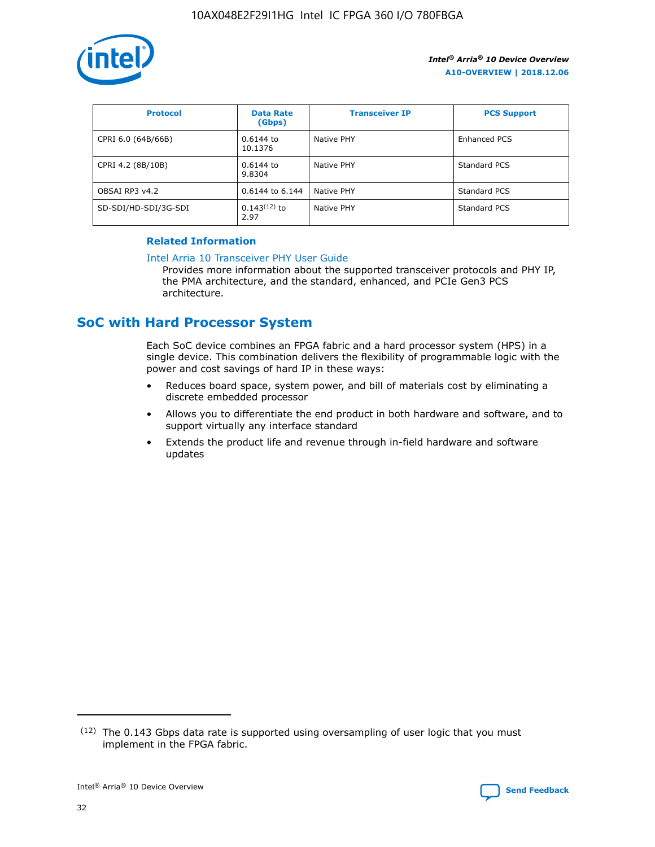

| <b>Protocol</b>      | <b>Data Rate</b><br>(Gbps) | <b>Transceiver IP</b> | <b>PCS Support</b> |
|----------------------|----------------------------|-----------------------|--------------------|
| CPRI 6.0 (64B/66B)   | 0.6144 to<br>10.1376       | Native PHY            | Enhanced PCS       |
| CPRI 4.2 (8B/10B)    | 0.6144 to<br>9.8304        | Native PHY            | Standard PCS       |
| OBSAI RP3 v4.2       | 0.6144 to 6.144            | Native PHY            | Standard PCS       |
| SD-SDI/HD-SDI/3G-SDI | $0.143(12)$ to<br>2.97     | Native PHY            | Standard PCS       |

# **Related Information**

#### [Intel Arria 10 Transceiver PHY User Guide](https://www.intel.com/content/www/us/en/programmable/documentation/nik1398707230472.html#nik1398707091164)

Provides more information about the supported transceiver protocols and PHY IP, the PMA architecture, and the standard, enhanced, and PCIe Gen3 PCS architecture.

# **SoC with Hard Processor System**

Each SoC device combines an FPGA fabric and a hard processor system (HPS) in a single device. This combination delivers the flexibility of programmable logic with the power and cost savings of hard IP in these ways:

- Reduces board space, system power, and bill of materials cost by eliminating a discrete embedded processor
- Allows you to differentiate the end product in both hardware and software, and to support virtually any interface standard
- Extends the product life and revenue through in-field hardware and software updates

 $(12)$  The 0.143 Gbps data rate is supported using oversampling of user logic that you must implement in the FPGA fabric.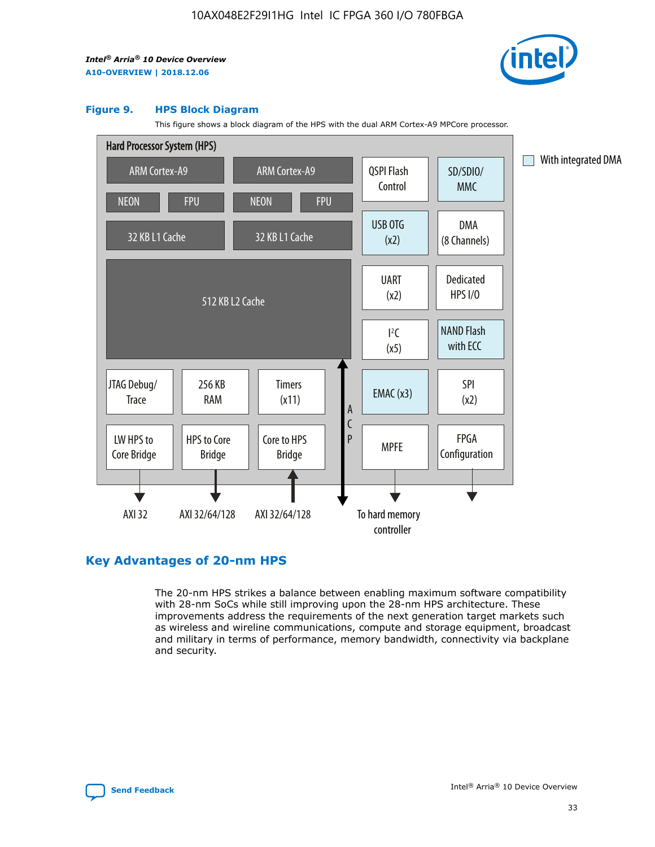

#### **Figure 9. HPS Block Diagram**

This figure shows a block diagram of the HPS with the dual ARM Cortex-A9 MPCore processor.



# **Key Advantages of 20-nm HPS**

The 20-nm HPS strikes a balance between enabling maximum software compatibility with 28-nm SoCs while still improving upon the 28-nm HPS architecture. These improvements address the requirements of the next generation target markets such as wireless and wireline communications, compute and storage equipment, broadcast and military in terms of performance, memory bandwidth, connectivity via backplane and security.

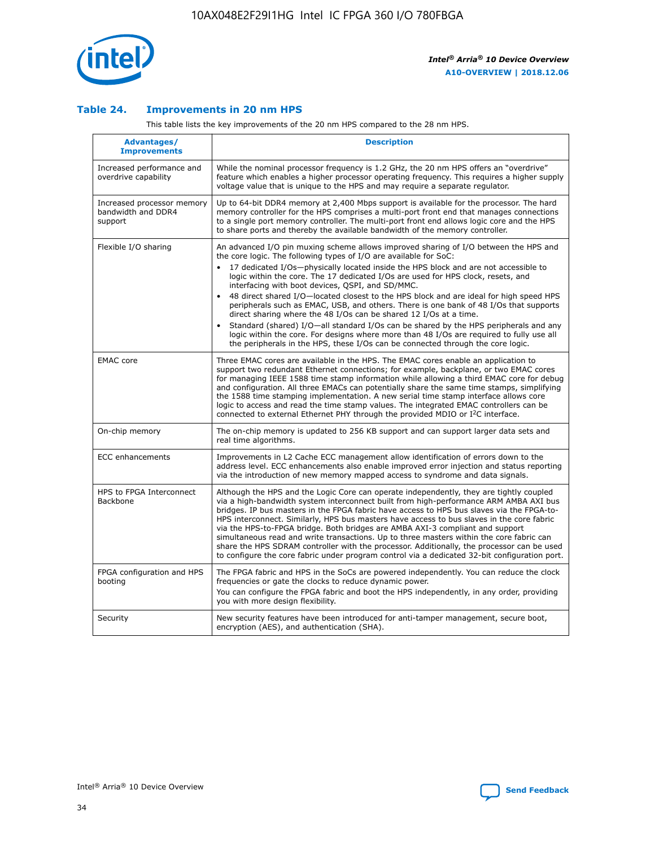

## **Table 24. Improvements in 20 nm HPS**

This table lists the key improvements of the 20 nm HPS compared to the 28 nm HPS.

| Advantages/<br><b>Improvements</b>                          | <b>Description</b>                                                                                                                                                                                                                                                                                                                                                                                                                                                                                                                                                                                                                                                                                                                                                                                                                                                                                                      |
|-------------------------------------------------------------|-------------------------------------------------------------------------------------------------------------------------------------------------------------------------------------------------------------------------------------------------------------------------------------------------------------------------------------------------------------------------------------------------------------------------------------------------------------------------------------------------------------------------------------------------------------------------------------------------------------------------------------------------------------------------------------------------------------------------------------------------------------------------------------------------------------------------------------------------------------------------------------------------------------------------|
| Increased performance and<br>overdrive capability           | While the nominal processor frequency is 1.2 GHz, the 20 nm HPS offers an "overdrive"<br>feature which enables a higher processor operating frequency. This requires a higher supply<br>voltage value that is unique to the HPS and may require a separate regulator.                                                                                                                                                                                                                                                                                                                                                                                                                                                                                                                                                                                                                                                   |
| Increased processor memory<br>bandwidth and DDR4<br>support | Up to 64-bit DDR4 memory at 2,400 Mbps support is available for the processor. The hard<br>memory controller for the HPS comprises a multi-port front end that manages connections<br>to a single port memory controller. The multi-port front end allows logic core and the HPS<br>to share ports and thereby the available bandwidth of the memory controller.                                                                                                                                                                                                                                                                                                                                                                                                                                                                                                                                                        |
| Flexible I/O sharing                                        | An advanced I/O pin muxing scheme allows improved sharing of I/O between the HPS and<br>the core logic. The following types of I/O are available for SoC:<br>17 dedicated I/Os-physically located inside the HPS block and are not accessible to<br>logic within the core. The 17 dedicated I/Os are used for HPS clock, resets, and<br>interfacing with boot devices, QSPI, and SD/MMC.<br>48 direct shared I/O-located closest to the HPS block and are ideal for high speed HPS<br>peripherals such as EMAC, USB, and others. There is one bank of 48 I/Os that supports<br>direct sharing where the 48 I/Os can be shared 12 I/Os at a time.<br>Standard (shared) I/O—all standard I/Os can be shared by the HPS peripherals and any<br>logic within the core. For designs where more than 48 I/Os are required to fully use all<br>the peripherals in the HPS, these I/Os can be connected through the core logic. |
| <b>EMAC</b> core                                            | Three EMAC cores are available in the HPS. The EMAC cores enable an application to<br>support two redundant Ethernet connections; for example, backplane, or two EMAC cores<br>for managing IEEE 1588 time stamp information while allowing a third EMAC core for debug<br>and configuration. All three EMACs can potentially share the same time stamps, simplifying<br>the 1588 time stamping implementation. A new serial time stamp interface allows core<br>logic to access and read the time stamp values. The integrated EMAC controllers can be<br>connected to external Ethernet PHY through the provided MDIO or I <sup>2</sup> C interface.                                                                                                                                                                                                                                                                  |
| On-chip memory                                              | The on-chip memory is updated to 256 KB support and can support larger data sets and<br>real time algorithms.                                                                                                                                                                                                                                                                                                                                                                                                                                                                                                                                                                                                                                                                                                                                                                                                           |
| <b>ECC</b> enhancements                                     | Improvements in L2 Cache ECC management allow identification of errors down to the<br>address level. ECC enhancements also enable improved error injection and status reporting<br>via the introduction of new memory mapped access to syndrome and data signals.                                                                                                                                                                                                                                                                                                                                                                                                                                                                                                                                                                                                                                                       |
| HPS to FPGA Interconnect<br>Backbone                        | Although the HPS and the Logic Core can operate independently, they are tightly coupled<br>via a high-bandwidth system interconnect built from high-performance ARM AMBA AXI bus<br>bridges. IP bus masters in the FPGA fabric have access to HPS bus slaves via the FPGA-to-<br>HPS interconnect. Similarly, HPS bus masters have access to bus slaves in the core fabric<br>via the HPS-to-FPGA bridge. Both bridges are AMBA AXI-3 compliant and support<br>simultaneous read and write transactions. Up to three masters within the core fabric can<br>share the HPS SDRAM controller with the processor. Additionally, the processor can be used<br>to configure the core fabric under program control via a dedicated 32-bit configuration port.                                                                                                                                                                  |
| FPGA configuration and HPS<br>booting                       | The FPGA fabric and HPS in the SoCs are powered independently. You can reduce the clock<br>frequencies or gate the clocks to reduce dynamic power.<br>You can configure the FPGA fabric and boot the HPS independently, in any order, providing<br>you with more design flexibility.                                                                                                                                                                                                                                                                                                                                                                                                                                                                                                                                                                                                                                    |
| Security                                                    | New security features have been introduced for anti-tamper management, secure boot,<br>encryption (AES), and authentication (SHA).                                                                                                                                                                                                                                                                                                                                                                                                                                                                                                                                                                                                                                                                                                                                                                                      |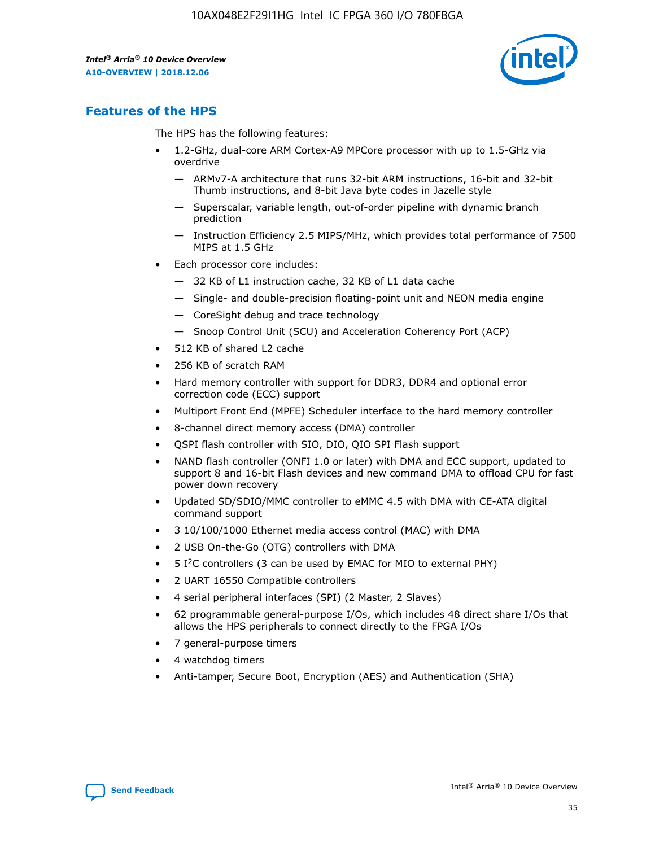

# **Features of the HPS**

The HPS has the following features:

- 1.2-GHz, dual-core ARM Cortex-A9 MPCore processor with up to 1.5-GHz via overdrive
	- ARMv7-A architecture that runs 32-bit ARM instructions, 16-bit and 32-bit Thumb instructions, and 8-bit Java byte codes in Jazelle style
	- Superscalar, variable length, out-of-order pipeline with dynamic branch prediction
	- Instruction Efficiency 2.5 MIPS/MHz, which provides total performance of 7500 MIPS at 1.5 GHz
- Each processor core includes:
	- 32 KB of L1 instruction cache, 32 KB of L1 data cache
	- Single- and double-precision floating-point unit and NEON media engine
	- CoreSight debug and trace technology
	- Snoop Control Unit (SCU) and Acceleration Coherency Port (ACP)
- 512 KB of shared L2 cache
- 256 KB of scratch RAM
- Hard memory controller with support for DDR3, DDR4 and optional error correction code (ECC) support
- Multiport Front End (MPFE) Scheduler interface to the hard memory controller
- 8-channel direct memory access (DMA) controller
- QSPI flash controller with SIO, DIO, QIO SPI Flash support
- NAND flash controller (ONFI 1.0 or later) with DMA and ECC support, updated to support 8 and 16-bit Flash devices and new command DMA to offload CPU for fast power down recovery
- Updated SD/SDIO/MMC controller to eMMC 4.5 with DMA with CE-ATA digital command support
- 3 10/100/1000 Ethernet media access control (MAC) with DMA
- 2 USB On-the-Go (OTG) controllers with DMA
- $\bullet$  5 I<sup>2</sup>C controllers (3 can be used by EMAC for MIO to external PHY)
- 2 UART 16550 Compatible controllers
- 4 serial peripheral interfaces (SPI) (2 Master, 2 Slaves)
- 62 programmable general-purpose I/Os, which includes 48 direct share I/Os that allows the HPS peripherals to connect directly to the FPGA I/Os
- 7 general-purpose timers
- 4 watchdog timers
- Anti-tamper, Secure Boot, Encryption (AES) and Authentication (SHA)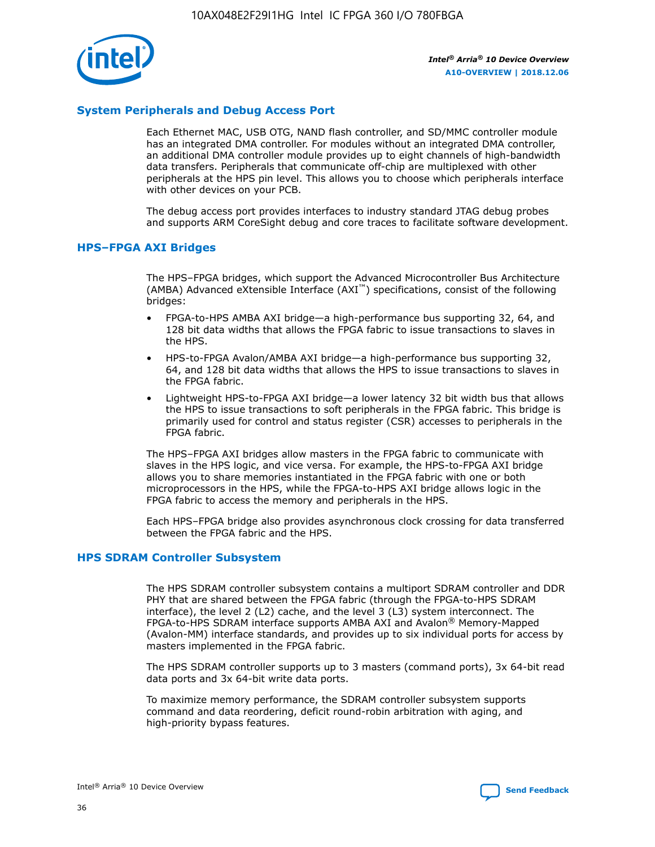

# **System Peripherals and Debug Access Port**

Each Ethernet MAC, USB OTG, NAND flash controller, and SD/MMC controller module has an integrated DMA controller. For modules without an integrated DMA controller, an additional DMA controller module provides up to eight channels of high-bandwidth data transfers. Peripherals that communicate off-chip are multiplexed with other peripherals at the HPS pin level. This allows you to choose which peripherals interface with other devices on your PCB.

The debug access port provides interfaces to industry standard JTAG debug probes and supports ARM CoreSight debug and core traces to facilitate software development.

## **HPS–FPGA AXI Bridges**

The HPS–FPGA bridges, which support the Advanced Microcontroller Bus Architecture (AMBA) Advanced eXtensible Interface (AXI™) specifications, consist of the following bridges:

- FPGA-to-HPS AMBA AXI bridge—a high-performance bus supporting 32, 64, and 128 bit data widths that allows the FPGA fabric to issue transactions to slaves in the HPS.
- HPS-to-FPGA Avalon/AMBA AXI bridge—a high-performance bus supporting 32, 64, and 128 bit data widths that allows the HPS to issue transactions to slaves in the FPGA fabric.
- Lightweight HPS-to-FPGA AXI bridge—a lower latency 32 bit width bus that allows the HPS to issue transactions to soft peripherals in the FPGA fabric. This bridge is primarily used for control and status register (CSR) accesses to peripherals in the FPGA fabric.

The HPS–FPGA AXI bridges allow masters in the FPGA fabric to communicate with slaves in the HPS logic, and vice versa. For example, the HPS-to-FPGA AXI bridge allows you to share memories instantiated in the FPGA fabric with one or both microprocessors in the HPS, while the FPGA-to-HPS AXI bridge allows logic in the FPGA fabric to access the memory and peripherals in the HPS.

Each HPS–FPGA bridge also provides asynchronous clock crossing for data transferred between the FPGA fabric and the HPS.

## **HPS SDRAM Controller Subsystem**

The HPS SDRAM controller subsystem contains a multiport SDRAM controller and DDR PHY that are shared between the FPGA fabric (through the FPGA-to-HPS SDRAM interface), the level 2 (L2) cache, and the level 3 (L3) system interconnect. The FPGA-to-HPS SDRAM interface supports AMBA AXI and Avalon® Memory-Mapped (Avalon-MM) interface standards, and provides up to six individual ports for access by masters implemented in the FPGA fabric.

The HPS SDRAM controller supports up to 3 masters (command ports), 3x 64-bit read data ports and 3x 64-bit write data ports.

To maximize memory performance, the SDRAM controller subsystem supports command and data reordering, deficit round-robin arbitration with aging, and high-priority bypass features.

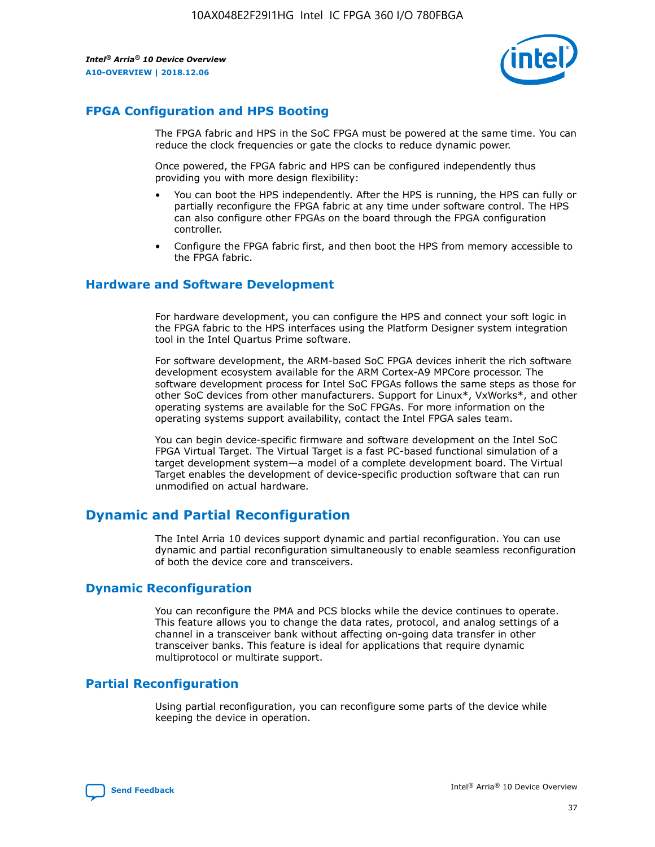

# **FPGA Configuration and HPS Booting**

The FPGA fabric and HPS in the SoC FPGA must be powered at the same time. You can reduce the clock frequencies or gate the clocks to reduce dynamic power.

Once powered, the FPGA fabric and HPS can be configured independently thus providing you with more design flexibility:

- You can boot the HPS independently. After the HPS is running, the HPS can fully or partially reconfigure the FPGA fabric at any time under software control. The HPS can also configure other FPGAs on the board through the FPGA configuration controller.
- Configure the FPGA fabric first, and then boot the HPS from memory accessible to the FPGA fabric.

## **Hardware and Software Development**

For hardware development, you can configure the HPS and connect your soft logic in the FPGA fabric to the HPS interfaces using the Platform Designer system integration tool in the Intel Quartus Prime software.

For software development, the ARM-based SoC FPGA devices inherit the rich software development ecosystem available for the ARM Cortex-A9 MPCore processor. The software development process for Intel SoC FPGAs follows the same steps as those for other SoC devices from other manufacturers. Support for Linux\*, VxWorks\*, and other operating systems are available for the SoC FPGAs. For more information on the operating systems support availability, contact the Intel FPGA sales team.

You can begin device-specific firmware and software development on the Intel SoC FPGA Virtual Target. The Virtual Target is a fast PC-based functional simulation of a target development system—a model of a complete development board. The Virtual Target enables the development of device-specific production software that can run unmodified on actual hardware.

# **Dynamic and Partial Reconfiguration**

The Intel Arria 10 devices support dynamic and partial reconfiguration. You can use dynamic and partial reconfiguration simultaneously to enable seamless reconfiguration of both the device core and transceivers.

# **Dynamic Reconfiguration**

You can reconfigure the PMA and PCS blocks while the device continues to operate. This feature allows you to change the data rates, protocol, and analog settings of a channel in a transceiver bank without affecting on-going data transfer in other transceiver banks. This feature is ideal for applications that require dynamic multiprotocol or multirate support.

# **Partial Reconfiguration**

Using partial reconfiguration, you can reconfigure some parts of the device while keeping the device in operation.

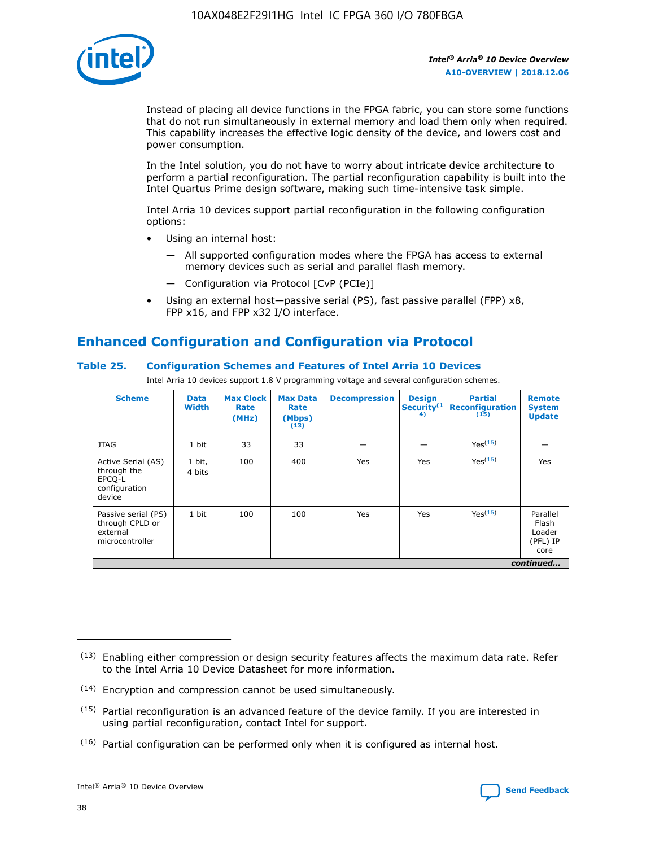

Instead of placing all device functions in the FPGA fabric, you can store some functions that do not run simultaneously in external memory and load them only when required. This capability increases the effective logic density of the device, and lowers cost and power consumption.

In the Intel solution, you do not have to worry about intricate device architecture to perform a partial reconfiguration. The partial reconfiguration capability is built into the Intel Quartus Prime design software, making such time-intensive task simple.

Intel Arria 10 devices support partial reconfiguration in the following configuration options:

- Using an internal host:
	- All supported configuration modes where the FPGA has access to external memory devices such as serial and parallel flash memory.
	- Configuration via Protocol [CvP (PCIe)]
- Using an external host—passive serial (PS), fast passive parallel (FPP) x8, FPP x16, and FPP x32 I/O interface.

# **Enhanced Configuration and Configuration via Protocol**

# **Table 25. Configuration Schemes and Features of Intel Arria 10 Devices**

Intel Arria 10 devices support 1.8 V programming voltage and several configuration schemes.

| <b>Scheme</b>                                                          | <b>Data</b><br><b>Width</b> | <b>Max Clock</b><br>Rate<br>(MHz) | <b>Max Data</b><br>Rate<br>(Mbps)<br>(13) | <b>Decompression</b> | <b>Design</b><br>Security <sup>(1</sup><br>4) | <b>Partial</b><br><b>Reconfiguration</b><br>(15) | <b>Remote</b><br><b>System</b><br><b>Update</b> |
|------------------------------------------------------------------------|-----------------------------|-----------------------------------|-------------------------------------------|----------------------|-----------------------------------------------|--------------------------------------------------|-------------------------------------------------|
| <b>JTAG</b>                                                            | 1 bit                       | 33                                | 33                                        |                      |                                               | Yes(16)                                          |                                                 |
| Active Serial (AS)<br>through the<br>EPCO-L<br>configuration<br>device | 1 bit,<br>4 bits            | 100                               | 400                                       | Yes                  | Yes                                           | $Y_{PS}(16)$                                     | Yes                                             |
| Passive serial (PS)<br>through CPLD or<br>external<br>microcontroller  | 1 bit                       | 100                               | 100                                       | Yes                  | Yes                                           | Yes(16)                                          | Parallel<br>Flash<br>Loader<br>(PFL) IP<br>core |
|                                                                        |                             |                                   |                                           |                      |                                               |                                                  | continued                                       |

<sup>(13)</sup> Enabling either compression or design security features affects the maximum data rate. Refer to the Intel Arria 10 Device Datasheet for more information.

<sup>(14)</sup> Encryption and compression cannot be used simultaneously.

 $<sup>(15)</sup>$  Partial reconfiguration is an advanced feature of the device family. If you are interested in</sup> using partial reconfiguration, contact Intel for support.

 $(16)$  Partial configuration can be performed only when it is configured as internal host.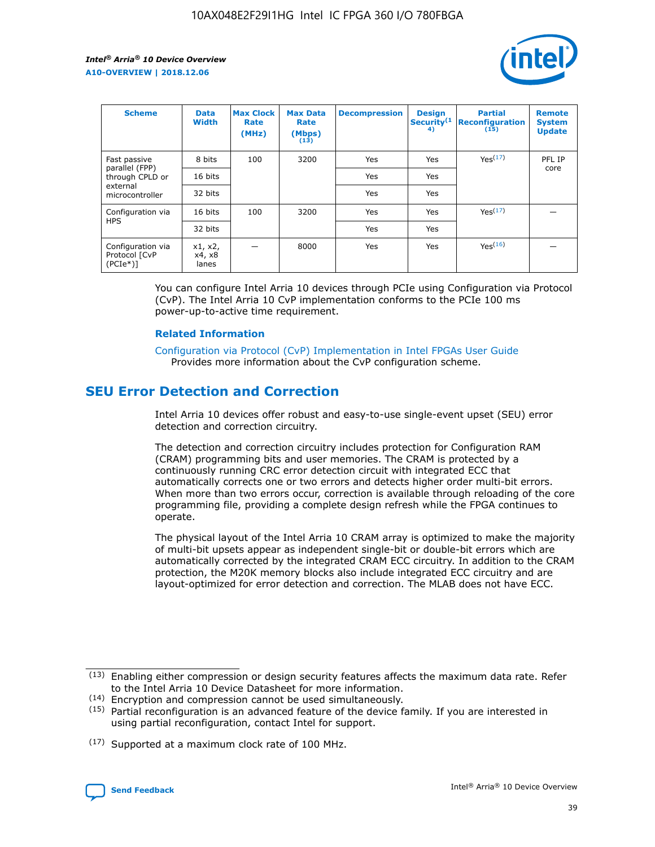

| <b>Scheme</b>                                   | <b>Data</b><br><b>Width</b> | <b>Max Clock</b><br>Rate<br>(MHz) | <b>Max Data</b><br>Rate<br>(Mbps)<br>(13) | <b>Decompression</b> | <b>Design</b><br>Security <sup>(1</sup><br>4) | <b>Partial</b><br><b>Reconfiguration</b><br>(15) | <b>Remote</b><br><b>System</b><br><b>Update</b> |
|-------------------------------------------------|-----------------------------|-----------------------------------|-------------------------------------------|----------------------|-----------------------------------------------|--------------------------------------------------|-------------------------------------------------|
| Fast passive                                    | 8 bits                      | 100                               | 3200                                      | <b>Yes</b>           | Yes                                           | Yes(17)                                          | PFL IP                                          |
| parallel (FPP)<br>through CPLD or               | 16 bits                     |                                   |                                           | Yes                  | Yes                                           |                                                  | core                                            |
| external<br>microcontroller                     | 32 bits                     |                                   |                                           | Yes                  | Yes                                           |                                                  |                                                 |
| Configuration via                               | 16 bits                     | 100                               | 3200                                      | Yes                  | Yes                                           | Yes <sup>(17)</sup>                              |                                                 |
| <b>HPS</b>                                      | 32 bits                     |                                   |                                           | Yes                  | Yes                                           |                                                  |                                                 |
| Configuration via<br>Protocol [CvP<br>$(PCIe*)$ | x1, x2,<br>x4, x8<br>lanes  |                                   | 8000                                      | Yes                  | Yes                                           | Yes <sup>(16)</sup>                              |                                                 |

You can configure Intel Arria 10 devices through PCIe using Configuration via Protocol (CvP). The Intel Arria 10 CvP implementation conforms to the PCIe 100 ms power-up-to-active time requirement.

## **Related Information**

[Configuration via Protocol \(CvP\) Implementation in Intel FPGAs User Guide](https://www.intel.com/content/www/us/en/programmable/documentation/dsu1441819344145.html#dsu1442269728522) Provides more information about the CvP configuration scheme.

# **SEU Error Detection and Correction**

Intel Arria 10 devices offer robust and easy-to-use single-event upset (SEU) error detection and correction circuitry.

The detection and correction circuitry includes protection for Configuration RAM (CRAM) programming bits and user memories. The CRAM is protected by a continuously running CRC error detection circuit with integrated ECC that automatically corrects one or two errors and detects higher order multi-bit errors. When more than two errors occur, correction is available through reloading of the core programming file, providing a complete design refresh while the FPGA continues to operate.

The physical layout of the Intel Arria 10 CRAM array is optimized to make the majority of multi-bit upsets appear as independent single-bit or double-bit errors which are automatically corrected by the integrated CRAM ECC circuitry. In addition to the CRAM protection, the M20K memory blocks also include integrated ECC circuitry and are layout-optimized for error detection and correction. The MLAB does not have ECC.

(14) Encryption and compression cannot be used simultaneously.

<sup>(17)</sup> Supported at a maximum clock rate of 100 MHz.



 $(13)$  Enabling either compression or design security features affects the maximum data rate. Refer to the Intel Arria 10 Device Datasheet for more information.

 $(15)$  Partial reconfiguration is an advanced feature of the device family. If you are interested in using partial reconfiguration, contact Intel for support.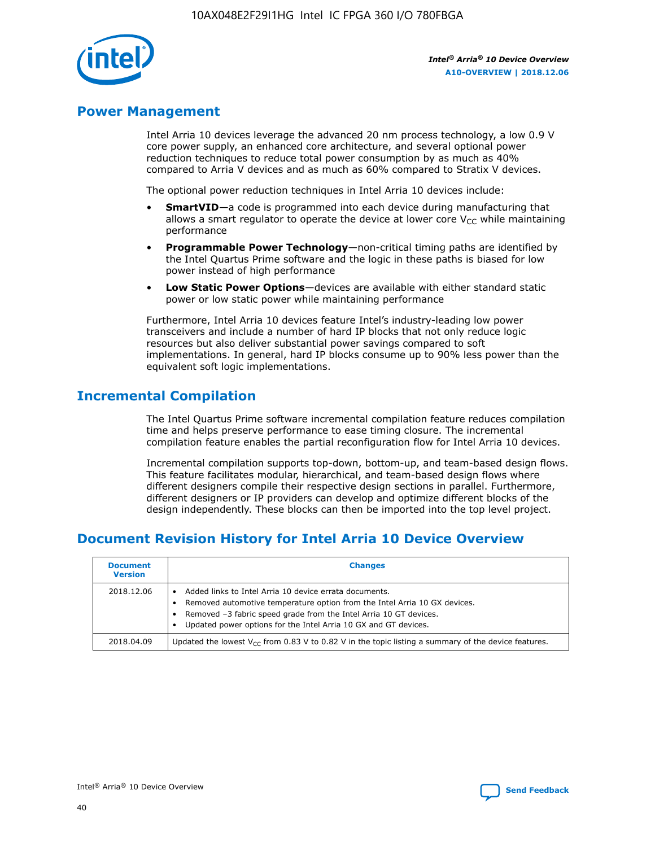

# **Power Management**

Intel Arria 10 devices leverage the advanced 20 nm process technology, a low 0.9 V core power supply, an enhanced core architecture, and several optional power reduction techniques to reduce total power consumption by as much as 40% compared to Arria V devices and as much as 60% compared to Stratix V devices.

The optional power reduction techniques in Intel Arria 10 devices include:

- **SmartVID**—a code is programmed into each device during manufacturing that allows a smart regulator to operate the device at lower core  $V_{CC}$  while maintaining performance
- **Programmable Power Technology**—non-critical timing paths are identified by the Intel Quartus Prime software and the logic in these paths is biased for low power instead of high performance
- **Low Static Power Options**—devices are available with either standard static power or low static power while maintaining performance

Furthermore, Intel Arria 10 devices feature Intel's industry-leading low power transceivers and include a number of hard IP blocks that not only reduce logic resources but also deliver substantial power savings compared to soft implementations. In general, hard IP blocks consume up to 90% less power than the equivalent soft logic implementations.

# **Incremental Compilation**

The Intel Quartus Prime software incremental compilation feature reduces compilation time and helps preserve performance to ease timing closure. The incremental compilation feature enables the partial reconfiguration flow for Intel Arria 10 devices.

Incremental compilation supports top-down, bottom-up, and team-based design flows. This feature facilitates modular, hierarchical, and team-based design flows where different designers compile their respective design sections in parallel. Furthermore, different designers or IP providers can develop and optimize different blocks of the design independently. These blocks can then be imported into the top level project.

# **Document Revision History for Intel Arria 10 Device Overview**

| <b>Document</b><br><b>Version</b> | <b>Changes</b>                                                                                                                                                                                                                                                              |
|-----------------------------------|-----------------------------------------------------------------------------------------------------------------------------------------------------------------------------------------------------------------------------------------------------------------------------|
| 2018.12.06                        | Added links to Intel Arria 10 device errata documents.<br>Removed automotive temperature option from the Intel Arria 10 GX devices.<br>Removed -3 fabric speed grade from the Intel Arria 10 GT devices.<br>Updated power options for the Intel Arria 10 GX and GT devices. |
| 2018.04.09                        | Updated the lowest $V_{CC}$ from 0.83 V to 0.82 V in the topic listing a summary of the device features.                                                                                                                                                                    |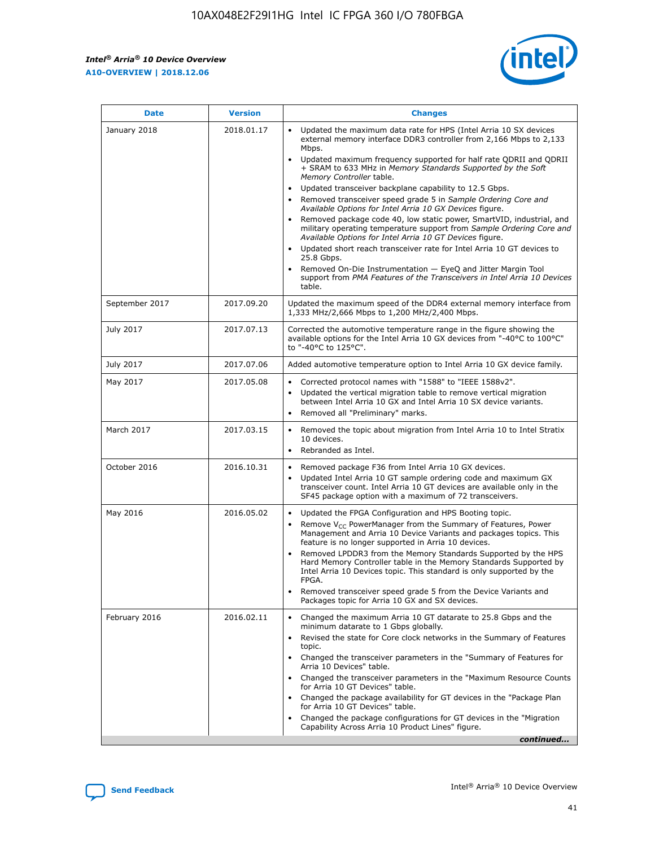$\mathsf{r}$ 



| <b>Date</b>    | <b>Version</b> | <b>Changes</b>                                                                                                                                                                                                                                                                                                                                                                                                                                                                                                                                                                                                                                                                                                                                                                                                                                                                                                                                                                         |
|----------------|----------------|----------------------------------------------------------------------------------------------------------------------------------------------------------------------------------------------------------------------------------------------------------------------------------------------------------------------------------------------------------------------------------------------------------------------------------------------------------------------------------------------------------------------------------------------------------------------------------------------------------------------------------------------------------------------------------------------------------------------------------------------------------------------------------------------------------------------------------------------------------------------------------------------------------------------------------------------------------------------------------------|
| January 2018   | 2018.01.17     | Updated the maximum data rate for HPS (Intel Arria 10 SX devices<br>external memory interface DDR3 controller from 2,166 Mbps to 2,133<br>Mbps.<br>Updated maximum frequency supported for half rate QDRII and QDRII<br>$\bullet$<br>+ SRAM to 633 MHz in Memory Standards Supported by the Soft<br>Memory Controller table.<br>Updated transceiver backplane capability to 12.5 Gbps.<br>$\bullet$<br>Removed transceiver speed grade 5 in Sample Ordering Core and<br>Available Options for Intel Arria 10 GX Devices figure.<br>Removed package code 40, low static power, SmartVID, industrial, and<br>military operating temperature support from Sample Ordering Core and<br>Available Options for Intel Arria 10 GT Devices figure.<br>Updated short reach transceiver rate for Intel Arria 10 GT devices to<br>25.8 Gbps.<br>Removed On-Die Instrumentation - EyeQ and Jitter Margin Tool<br>support from PMA Features of the Transceivers in Intel Arria 10 Devices<br>table. |
| September 2017 | 2017.09.20     | Updated the maximum speed of the DDR4 external memory interface from<br>1,333 MHz/2,666 Mbps to 1,200 MHz/2,400 Mbps.                                                                                                                                                                                                                                                                                                                                                                                                                                                                                                                                                                                                                                                                                                                                                                                                                                                                  |
| July 2017      | 2017.07.13     | Corrected the automotive temperature range in the figure showing the<br>available options for the Intel Arria 10 GX devices from "-40°C to 100°C"<br>to "-40°C to 125°C".                                                                                                                                                                                                                                                                                                                                                                                                                                                                                                                                                                                                                                                                                                                                                                                                              |
| July 2017      | 2017.07.06     | Added automotive temperature option to Intel Arria 10 GX device family.                                                                                                                                                                                                                                                                                                                                                                                                                                                                                                                                                                                                                                                                                                                                                                                                                                                                                                                |
| May 2017       | 2017.05.08     | Corrected protocol names with "1588" to "IEEE 1588v2".<br>$\bullet$<br>Updated the vertical migration table to remove vertical migration<br>$\bullet$<br>between Intel Arria 10 GX and Intel Arria 10 SX device variants.<br>Removed all "Preliminary" marks.<br>$\bullet$                                                                                                                                                                                                                                                                                                                                                                                                                                                                                                                                                                                                                                                                                                             |
| March 2017     | 2017.03.15     | Removed the topic about migration from Intel Arria 10 to Intel Stratix<br>10 devices.<br>Rebranded as Intel.<br>$\bullet$                                                                                                                                                                                                                                                                                                                                                                                                                                                                                                                                                                                                                                                                                                                                                                                                                                                              |
| October 2016   | 2016.10.31     | Removed package F36 from Intel Arria 10 GX devices.<br>Updated Intel Arria 10 GT sample ordering code and maximum GX<br>$\bullet$<br>transceiver count. Intel Arria 10 GT devices are available only in the<br>SF45 package option with a maximum of 72 transceivers.                                                                                                                                                                                                                                                                                                                                                                                                                                                                                                                                                                                                                                                                                                                  |
| May 2016       | 2016.05.02     | Updated the FPGA Configuration and HPS Booting topic.<br>Remove $V_{CC}$ PowerManager from the Summary of Features, Power<br>$\bullet$<br>Management and Arria 10 Device Variants and packages topics. This<br>feature is no longer supported in Arria 10 devices.<br>Removed LPDDR3 from the Memory Standards Supported by the HPS<br>Hard Memory Controller table in the Memory Standards Supported by<br>Intel Arria 10 Devices topic. This standard is only supported by the<br>FPGA.<br>Removed transceiver speed grade 5 from the Device Variants and<br>Packages topic for Arria 10 GX and SX devices.                                                                                                                                                                                                                                                                                                                                                                          |
| February 2016  | 2016.02.11     | Changed the maximum Arria 10 GT datarate to 25.8 Gbps and the<br>minimum datarate to 1 Gbps globally.<br>Revised the state for Core clock networks in the Summary of Features<br>$\bullet$<br>topic.<br>• Changed the transceiver parameters in the "Summary of Features for<br>Arria 10 Devices" table.<br>Changed the transceiver parameters in the "Maximum Resource Counts"<br>$\bullet$<br>for Arria 10 GT Devices" table.<br>• Changed the package availability for GT devices in the "Package Plan<br>for Arria 10 GT Devices" table.<br>Changed the package configurations for GT devices in the "Migration"<br>Capability Across Arria 10 Product Lines" figure.<br>continued                                                                                                                                                                                                                                                                                                 |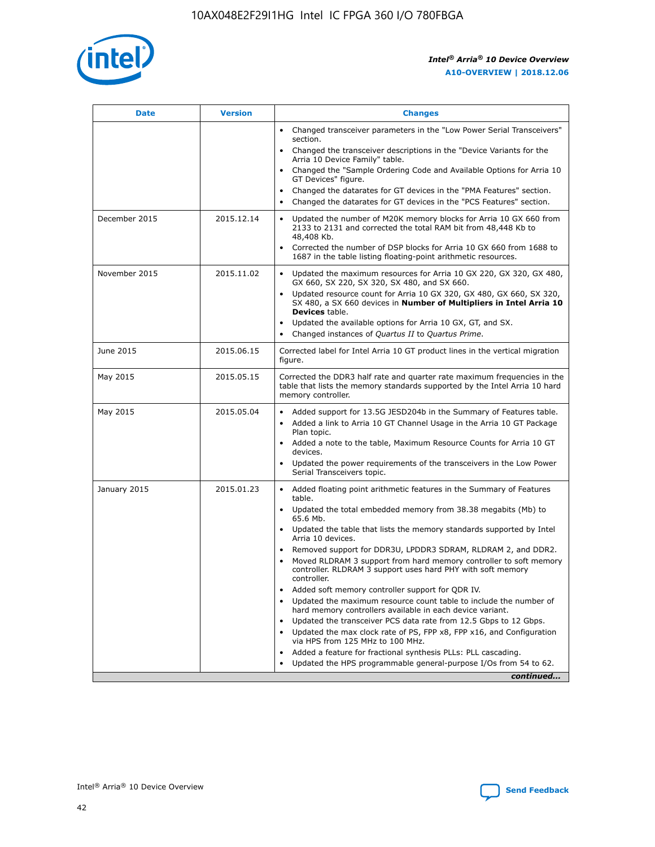

| <b>Date</b>   | <b>Version</b> | <b>Changes</b>                                                                                                                                                               |
|---------------|----------------|------------------------------------------------------------------------------------------------------------------------------------------------------------------------------|
|               |                | • Changed transceiver parameters in the "Low Power Serial Transceivers"<br>section.                                                                                          |
|               |                | • Changed the transceiver descriptions in the "Device Variants for the<br>Arria 10 Device Family" table.                                                                     |
|               |                | Changed the "Sample Ordering Code and Available Options for Arria 10<br>$\bullet$<br>GT Devices" figure.                                                                     |
|               |                | Changed the datarates for GT devices in the "PMA Features" section.                                                                                                          |
|               |                | Changed the datarates for GT devices in the "PCS Features" section.<br>$\bullet$                                                                                             |
| December 2015 | 2015.12.14     | Updated the number of M20K memory blocks for Arria 10 GX 660 from<br>2133 to 2131 and corrected the total RAM bit from 48,448 Kb to<br>48,408 Kb.                            |
|               |                | Corrected the number of DSP blocks for Arria 10 GX 660 from 1688 to<br>1687 in the table listing floating-point arithmetic resources.                                        |
| November 2015 | 2015.11.02     | Updated the maximum resources for Arria 10 GX 220, GX 320, GX 480,<br>$\bullet$<br>GX 660, SX 220, SX 320, SX 480, and SX 660.                                               |
|               |                | • Updated resource count for Arria 10 GX 320, GX 480, GX 660, SX 320,<br>SX 480, a SX 660 devices in Number of Multipliers in Intel Arria 10<br><b>Devices</b> table.        |
|               |                | Updated the available options for Arria 10 GX, GT, and SX.                                                                                                                   |
|               |                | Changed instances of Quartus II to Quartus Prime.<br>$\bullet$                                                                                                               |
| June 2015     | 2015.06.15     | Corrected label for Intel Arria 10 GT product lines in the vertical migration<br>figure.                                                                                     |
| May 2015      | 2015.05.15     | Corrected the DDR3 half rate and quarter rate maximum frequencies in the<br>table that lists the memory standards supported by the Intel Arria 10 hard<br>memory controller. |
| May 2015      | 2015.05.04     | • Added support for 13.5G JESD204b in the Summary of Features table.                                                                                                         |
|               |                | • Added a link to Arria 10 GT Channel Usage in the Arria 10 GT Package<br>Plan topic.                                                                                        |
|               |                | • Added a note to the table, Maximum Resource Counts for Arria 10 GT<br>devices.                                                                                             |
|               |                | • Updated the power requirements of the transceivers in the Low Power<br>Serial Transceivers topic.                                                                          |
| January 2015  | 2015.01.23     | • Added floating point arithmetic features in the Summary of Features<br>table.                                                                                              |
|               |                | • Updated the total embedded memory from 38.38 megabits (Mb) to<br>65.6 Mb.                                                                                                  |
|               |                | • Updated the table that lists the memory standards supported by Intel<br>Arria 10 devices.                                                                                  |
|               |                | Removed support for DDR3U, LPDDR3 SDRAM, RLDRAM 2, and DDR2.                                                                                                                 |
|               |                | Moved RLDRAM 3 support from hard memory controller to soft memory<br>controller. RLDRAM 3 support uses hard PHY with soft memory<br>controller.                              |
|               |                | Added soft memory controller support for QDR IV.<br>٠                                                                                                                        |
|               |                | Updated the maximum resource count table to include the number of<br>hard memory controllers available in each device variant.                                               |
|               |                | Updated the transceiver PCS data rate from 12.5 Gbps to 12 Gbps.<br>$\bullet$                                                                                                |
|               |                | Updated the max clock rate of PS, FPP x8, FPP x16, and Configuration<br>via HPS from 125 MHz to 100 MHz.                                                                     |
|               |                | Added a feature for fractional synthesis PLLs: PLL cascading.                                                                                                                |
|               |                | Updated the HPS programmable general-purpose I/Os from 54 to 62.<br>$\bullet$                                                                                                |
|               |                | continued                                                                                                                                                                    |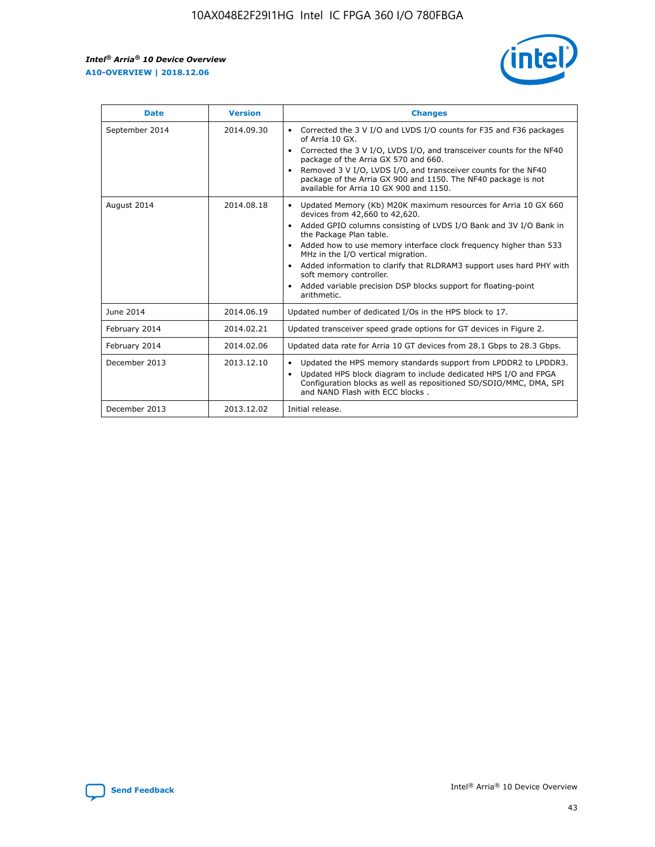$\mathsf{r}$ 



| <b>Date</b>    | <b>Version</b> | <b>Changes</b>                                                                                                                                                                                                                                                                                                                                                                                                                                                                                                                         |
|----------------|----------------|----------------------------------------------------------------------------------------------------------------------------------------------------------------------------------------------------------------------------------------------------------------------------------------------------------------------------------------------------------------------------------------------------------------------------------------------------------------------------------------------------------------------------------------|
| September 2014 | 2014.09.30     | Corrected the 3 V I/O and LVDS I/O counts for F35 and F36 packages<br>of Arria 10 GX.<br>Corrected the 3 V I/O, LVDS I/O, and transceiver counts for the NF40<br>package of the Arria GX 570 and 660.<br>Removed 3 V I/O, LVDS I/O, and transceiver counts for the NF40<br>package of the Arria GX 900 and 1150. The NF40 package is not<br>available for Arria 10 GX 900 and 1150.                                                                                                                                                    |
| August 2014    | 2014.08.18     | Updated Memory (Kb) M20K maximum resources for Arria 10 GX 660<br>devices from 42,660 to 42,620.<br>Added GPIO columns consisting of LVDS I/O Bank and 3V I/O Bank in<br>$\bullet$<br>the Package Plan table.<br>Added how to use memory interface clock frequency higher than 533<br>$\bullet$<br>MHz in the I/O vertical migration.<br>Added information to clarify that RLDRAM3 support uses hard PHY with<br>$\bullet$<br>soft memory controller.<br>Added variable precision DSP blocks support for floating-point<br>arithmetic. |
| June 2014      | 2014.06.19     | Updated number of dedicated I/Os in the HPS block to 17.                                                                                                                                                                                                                                                                                                                                                                                                                                                                               |
| February 2014  | 2014.02.21     | Updated transceiver speed grade options for GT devices in Figure 2.                                                                                                                                                                                                                                                                                                                                                                                                                                                                    |
| February 2014  | 2014.02.06     | Updated data rate for Arria 10 GT devices from 28.1 Gbps to 28.3 Gbps.                                                                                                                                                                                                                                                                                                                                                                                                                                                                 |
| December 2013  | 2013.12.10     | Updated the HPS memory standards support from LPDDR2 to LPDDR3.<br>Updated HPS block diagram to include dedicated HPS I/O and FPGA<br>$\bullet$<br>Configuration blocks as well as repositioned SD/SDIO/MMC, DMA, SPI<br>and NAND Flash with ECC blocks.                                                                                                                                                                                                                                                                               |
| December 2013  | 2013.12.02     | Initial release.                                                                                                                                                                                                                                                                                                                                                                                                                                                                                                                       |